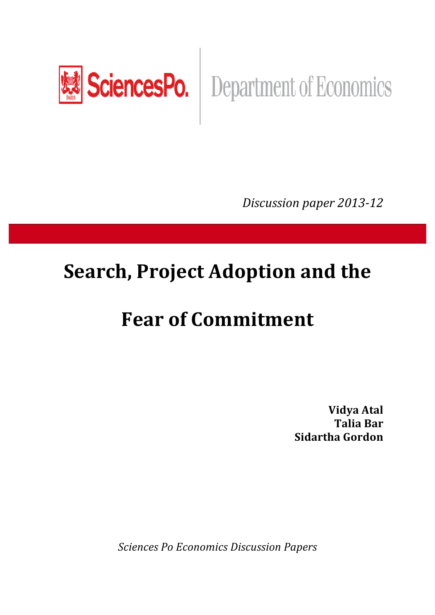

SciencesPo. | Department of Economics

*Discussion paper 2013-12* 

## **Search, Project Adoption and the**

# **Fear of Commitment**

**Vidya Atal Talia(Bar Sidartha(Gordon**

**Sciences Po Economics Discussion Papers**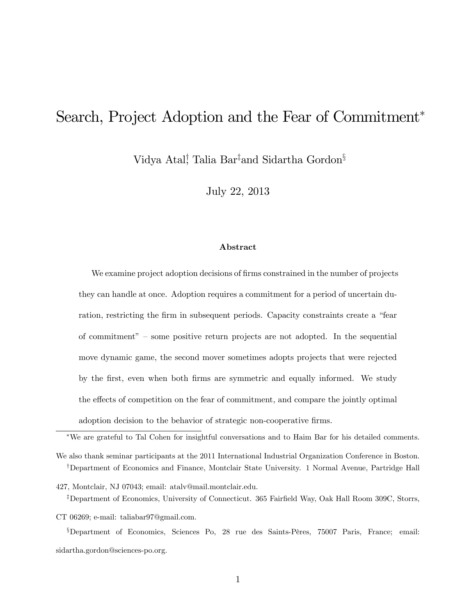## Search, Project Adoption and the Fear of Commitment<sup>\*</sup>

Vidya Atal† , Talia Bar‡ and Sidartha Gordon§

July 22, 2013

#### Abstract

We examine project adoption decisions of firms constrained in the number of projects they can handle at once. Adoption requires a commitment for a period of uncertain duration, restricting the firm in subsequent periods. Capacity constraints create a "fear of commitment" — some positive return projects are not adopted. In the sequential move dynamic game, the second mover sometimes adopts projects that were rejected by the first, even when both firms are symmetric and equally informed. We study the effects of competition on the fear of commitment, and compare the jointly optimal adoption decision to the behavior of strategic non-cooperative firms.

427, Montclair, NJ 07043; email: atalv@mail.montclair.edu.

‡Department of Economics, University of Connecticut. 365 Fairfield Way, Oak Hall Room 309C, Storrs,

CT 06269; e-mail: taliabar97@gmail.com.

§Department of Economics, Sciences Po, 28 rue des Saints-Pères, 75007 Paris, France; email: sidartha.gordon@sciences-po.org.

We are grateful to Tal Cohen for insightful conversations and to Haim Bar for his detailed comments.

We also thank seminar participants at the 2011 International Industrial Organization Conference in Boston. †Department of Economics and Finance, Montclair State University. 1 Normal Avenue, Partridge Hall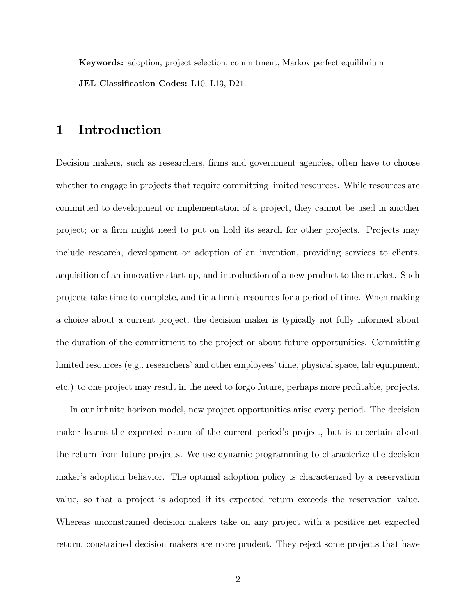Keywords: adoption, project selection, commitment, Markov perfect equilibrium JEL Classification Codes: L10, L13, D21.

## 1 Introduction

Decision makers, such as researchers, firms and government agencies, often have to choose whether to engage in projects that require committing limited resources. While resources are committed to development or implementation of a project, they cannot be used in another project; or a firm might need to put on hold its search for other projects. Projects may include research, development or adoption of an invention, providing services to clients, acquisition of an innovative start-up, and introduction of a new product to the market. Such projects take time to complete, and tie a firm's resources for a period of time. When making a choice about a current project, the decision maker is typically not fully informed about the duration of the commitment to the project or about future opportunities. Committing limited resources (e.g., researchers' and other employees' time, physical space, lab equipment, etc.) to one project may result in the need to forgo future, perhaps more profitable, projects.

In our infinite horizon model, new project opportunities arise every period. The decision maker learns the expected return of the current period's project, but is uncertain about the return from future projects. We use dynamic programming to characterize the decision maker's adoption behavior. The optimal adoption policy is characterized by a reservation value, so that a project is adopted if its expected return exceeds the reservation value. Whereas unconstrained decision makers take on any project with a positive net expected return, constrained decision makers are more prudent. They reject some projects that have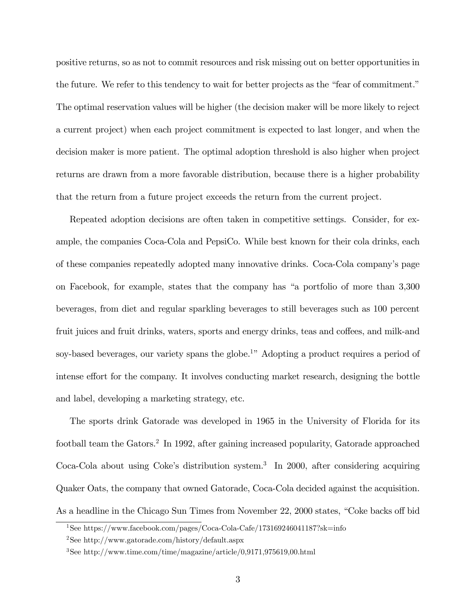positive returns, so as not to commit resources and risk missing out on better opportunities in the future. We refer to this tendency to wait for better projects as the "fear of commitment." The optimal reservation values will be higher (the decision maker will be more likely to reject a current project) when each project commitment is expected to last longer, and when the decision maker is more patient. The optimal adoption threshold is also higher when project returns are drawn from a more favorable distribution, because there is a higher probability that the return from a future project exceeds the return from the current project.

Repeated adoption decisions are often taken in competitive settings. Consider, for example, the companies Coca-Cola and PepsiCo. While best known for their cola drinks, each of these companies repeatedly adopted many innovative drinks. Coca-Cola company's page on Facebook, for example, states that the company has "a portfolio of more than 3,300 beverages, from diet and regular sparkling beverages to still beverages such as 100 percent fruit juices and fruit drinks, waters, sports and energy drinks, teas and coffees, and milk-and soy-based beverages, our variety spans the globe.<sup>1</sup>" Adopting a product requires a period of intense effort for the company. It involves conducting market research, designing the bottle and label, developing a marketing strategy, etc.

The sports drink Gatorade was developed in 1965 in the University of Florida for its football team the Gators.<sup>2</sup> In 1992, after gaining increased popularity, Gatorade approached Coca-Cola about using Coke's distribution system.<sup>3</sup> In 2000, after considering acquiring Quaker Oats, the company that owned Gatorade, Coca-Cola decided against the acquisition. As a headline in the Chicago Sun Times from November 22, 2000 states, "Coke backs off bid

<span id="page-3-1"></span><span id="page-3-0"></span><sup>1</sup>See https://www.facebook.com/pages/Coca-Cola-Cafe/173169246041187?sk=info

<span id="page-3-2"></span><sup>2</sup>See http://www.gatorade.com/history/default.aspx

<sup>3</sup>See http://www.time.com/time/magazine/article/0,9171,975619,00.html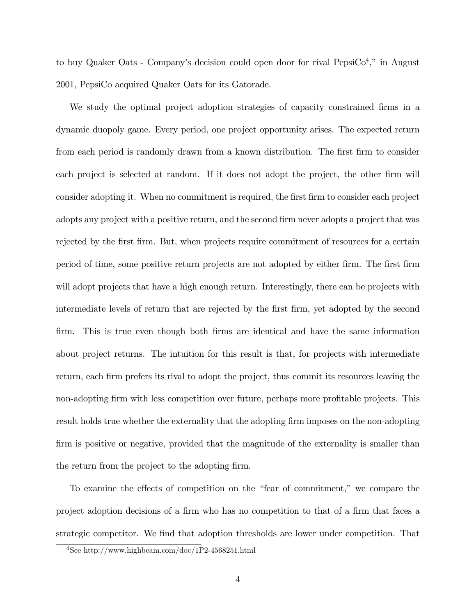to buy Quaker Oats - Company's decision could open door for rival Pepsi $Co<sup>4</sup>$ ," in August 2001, PepsiCo acquired Quaker Oats for its Gatorade.

We study the optimal project adoption strategies of capacity constrained firms in a dynamic duopoly game. Every period, one project opportunity arises. The expected return from each period is randomly drawn from a known distribution. The first firm to consider each project is selected at random. If it does not adopt the project, the other firm will consider adopting it. When no commitment is required, the first firm to consider each project adopts any project with a positive return, and the second firm never adopts a project that was rejected by the first firm. But, when projects require commitment of resources for a certain period of time, some positive return projects are not adopted by either firm. The first firm will adopt projects that have a high enough return. Interestingly, there can be projects with intermediate levels of return that are rejected by the first firm, yet adopted by the second firm. This is true even though both firms are identical and have the same information about project returns. The intuition for this result is that, for projects with intermediate return, each firm prefers its rival to adopt the project, thus commit its resources leaving the non-adopting firm with less competition over future, perhaps more profitable projects. This result holds true whether the externality that the adopting firm imposes on the non-adopting firm is positive or negative, provided that the magnitude of the externality is smaller than the return from the project to the adopting firm.

To examine the effects of competition on the "fear of commitment," we compare the project adoption decisions of a firm who has no competition to that of a firm that faces a strategic competitor. We find that adoption thresholds are lower under competition. That

<span id="page-4-0"></span><sup>4</sup>See http://www.highbeam.com/doc/1P2-4568251.html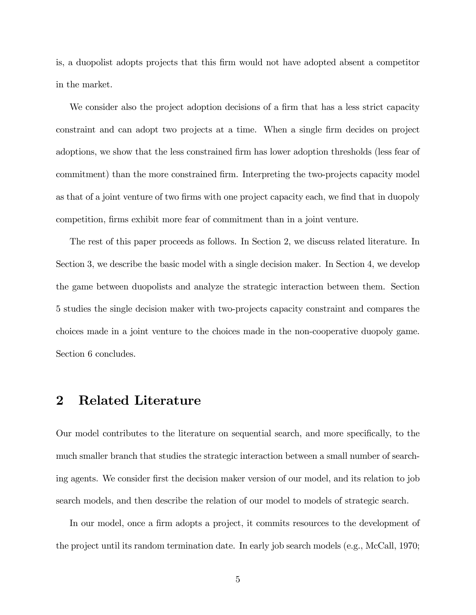is, a duopolist adopts projects that this firm would not have adopted absent a competitor in the market.

We consider also the project adoption decisions of a firm that has a less strict capacity constraint and can adopt two projects at a time. When a single firm decides on project adoptions, we show that the less constrained firm has lower adoption thresholds (less fear of commitment) than the more constrained firm. Interpreting the two-projects capacity model as that of a joint venture of two firms with one project capacity each, we find that in duopoly competition, firms exhibit more fear of commitment than in a joint venture.

The rest of this paper proceeds as follows. In Section 2, we discuss related literature. In Section 3, we describe the basic model with a single decision maker. In Section 4, we develop the game between duopolists and analyze the strategic interaction between them. Section 5 studies the single decision maker with two-projects capacity constraint and compares the choices made in a joint venture to the choices made in the non-cooperative duopoly game. Section 6 concludes.

## 2 Related Literature

Our model contributes to the literature on sequential search, and more specifically, to the much smaller branch that studies the strategic interaction between a small number of searching agents. We consider first the decision maker version of our model, and its relation to job search models, and then describe the relation of our model to models of strategic search.

In our model, once a firm adopts a project, it commits resources to the development of the project until its random termination date. In early job search models (e.g., McCall, 1970;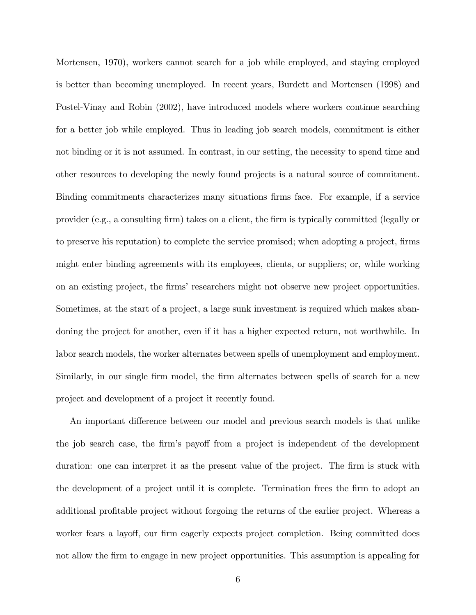Mortensen, 1970), workers cannot search for a job while employed, and staying employed is better than becoming unemployed. In recent years, Burdett and Mortensen (1998) and Postel-Vinay and Robin (2002), have introduced models where workers continue searching for a better job while employed. Thus in leading job search models, commitment is either not binding or it is not assumed. In contrast, in our setting, the necessity to spend time and other resources to developing the newly found projects is a natural source of commitment. Binding commitments characterizes many situations firms face. For example, if a service provider (e.g., a consulting firm) takes on a client, the firm is typically committed (legally or to preserve his reputation) to complete the service promised; when adopting a project, firms might enter binding agreements with its employees, clients, or suppliers; or, while working on an existing project, the firms' researchers might not observe new project opportunities. Sometimes, at the start of a project, a large sunk investment is required which makes abandoning the project for another, even if it has a higher expected return, not worthwhile. In labor search models, the worker alternates between spells of unemployment and employment. Similarly, in our single firm model, the firm alternates between spells of search for a new project and development of a project it recently found.

An important difference between our model and previous search models is that unlike the job search case, the firm's payoff from a project is independent of the development duration: one can interpret it as the present value of the project. The firm is stuck with the development of a project until it is complete. Termination frees the firm to adopt an additional profitable project without forgoing the returns of the earlier project. Whereas a worker fears a layoff, our firm eagerly expects project completion. Being committed does not allow the firm to engage in new project opportunities. This assumption is appealing for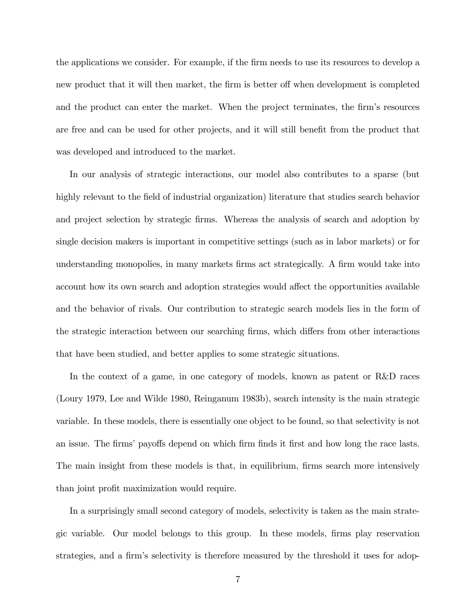the applications we consider. For example, if the firm needs to use its resources to develop a new product that it will then market, the firm is better off when development is completed and the product can enter the market. When the project terminates, the firm's resources are free and can be used for other projects, and it will still benefit from the product that was developed and introduced to the market.

In our analysis of strategic interactions, our model also contributes to a sparse (but highly relevant to the field of industrial organization) literature that studies search behavior and project selection by strategic firms. Whereas the analysis of search and adoption by single decision makers is important in competitive settings (such as in labor markets) or for understanding monopolies, in many markets firms act strategically. A firm would take into account how its own search and adoption strategies would affect the opportunities available and the behavior of rivals. Our contribution to strategic search models lies in the form of the strategic interaction between our searching firms, which differs from other interactions that have been studied, and better applies to some strategic situations.

In the context of a game, in one category of models, known as patent or R&D races (Loury 1979, Lee and Wilde 1980, Reinganum 1983b), search intensity is the main strategic variable. In these models, there is essentially one object to be found, so that selectivity is not an issue. The firms' payoffs depend on which firm finds it first and how long the race lasts. The main insight from these models is that, in equilibrium, firms search more intensively than joint profit maximization would require.

In a surprisingly small second category of models, selectivity is taken as the main strategic variable. Our model belongs to this group. In these models, firms play reservation strategies, and a firm's selectivity is therefore measured by the threshold it uses for adop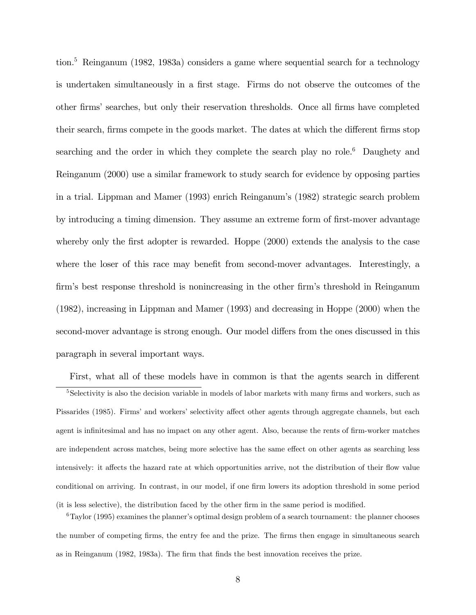tion.<sup>5</sup> Reinganum (1982, 1983a) considers a game where sequential search for a technology is undertaken simultaneously in a first stage. Firms do not observe the outcomes of the other firms' searches, but only their reservation thresholds. Once all firms have completed their search, firms compete in the goods market. The dates at which the different firms stop searching and the order in which they complete the search play no role.<sup>6</sup> Daughety and Reinganum (2000) use a similar framework to study search for evidence by opposing parties in a trial. Lippman and Mamer (1993) enrich Reinganum's (1982) strategic search problem by introducing a timing dimension. They assume an extreme form of first-mover advantage whereby only the first adopter is rewarded. Hoppe (2000) extends the analysis to the case where the loser of this race may benefit from second-mover advantages. Interestingly, a firm's best response threshold is nonincreasing in the other firm's threshold in Reinganum (1982), increasing in Lippman and Mamer (1993) and decreasing in Hoppe (2000) when the second-mover advantage is strong enough. Our model differs from the ones discussed in this paragraph in several important ways.

<span id="page-8-0"></span>First, what all of these models have in common is that the agents search in different <sup>5</sup>Selectivity is also the decision variable in models of labor markets with many firms and workers, such as Pissarides (1985). Firms' and workers' selectivity affect other agents through aggregate channels, but each agent is infinitesimal and has no impact on any other agent. Also, because the rents of firm-worker matches are independent across matches, being more selective has the same effect on other agents as searching less intensively: it affects the hazard rate at which opportunities arrive, not the distribution of their flow value conditional on arriving. In contrast, in our model, if one firm lowers its adoption threshold in some period (it is less selective), the distribution faced by the other firm in the same period is modified.

<span id="page-8-1"></span> $6$ Taylor (1995) examines the planner's optimal design problem of a search tournament: the planner chooses the number of competing firms, the entry fee and the prize. The firms then engage in simultaneous search as in Reinganum (1982, 1983a). The firm that finds the best innovation receives the prize.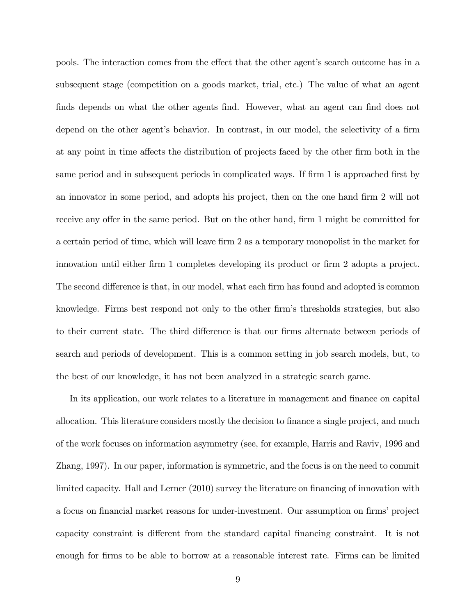pools. The interaction comes from the effect that the other agent's search outcome has in a subsequent stage (competition on a goods market, trial, etc.) The value of what an agent finds depends on what the other agents find. However, what an agent can find does not depend on the other agent's behavior. In contrast, in our model, the selectivity of a firm at any point in time affects the distribution of projects faced by the other firm both in the same period and in subsequent periods in complicated ways. If firm 1 is approached first by an innovator in some period, and adopts his project, then on the one hand firm 2 will not receive any offer in the same period. But on the other hand, firm 1 might be committed for a certain period of time, which will leave firm 2 as a temporary monopolist in the market for innovation until either firm 1 completes developing its product or firm 2 adopts a project. The second difference is that, in our model, what each firm has found and adopted is common knowledge. Firms best respond not only to the other firm's thresholds strategies, but also to their current state. The third difference is that our firms alternate between periods of search and periods of development. This is a common setting in job search models, but, to the best of our knowledge, it has not been analyzed in a strategic search game.

In its application, our work relates to a literature in management and finance on capital allocation. This literature considers mostly the decision to finance a single project, and much of the work focuses on information asymmetry (see, for example, Harris and Raviv, 1996 and Zhang, 1997). In our paper, information is symmetric, and the focus is on the need to commit limited capacity. Hall and Lerner (2010) survey the literature on financing of innovation with a focus on financial market reasons for under-investment. Our assumption on firms' project capacity constraint is different from the standard capital financing constraint. It is not enough for firms to be able to borrow at a reasonable interest rate. Firms can be limited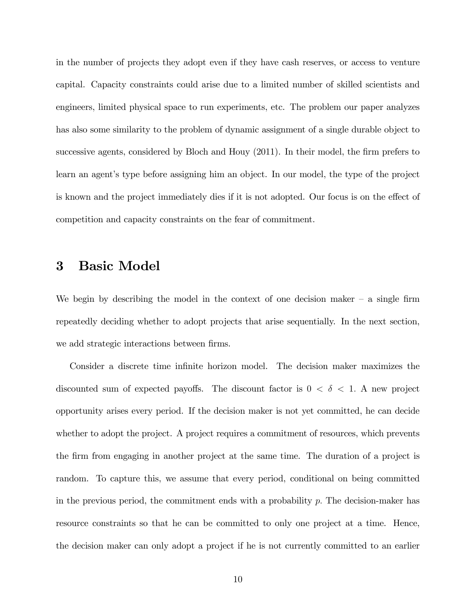in the number of projects they adopt even if they have cash reserves, or access to venture capital. Capacity constraints could arise due to a limited number of skilled scientists and engineers, limited physical space to run experiments, etc. The problem our paper analyzes has also some similarity to the problem of dynamic assignment of a single durable object to successive agents, considered by Bloch and Houy (2011). In their model, the firm prefers to learn an agent's type before assigning him an object. In our model, the type of the project is known and the project immediately dies if it is not adopted. Our focus is on the effect of competition and capacity constraints on the fear of commitment.

## 3 Basic Model

We begin by describing the model in the context of one decision maker  $-$  a single firm repeatedly deciding whether to adopt projects that arise sequentially. In the next section, we add strategic interactions between firms.

Consider a discrete time infinite horizon model. The decision maker maximizes the discounted sum of expected payoffs. The discount factor is  $0 < \delta < 1$ . A new project opportunity arises every period. If the decision maker is not yet committed, he can decide whether to adopt the project. A project requires a commitment of resources, which prevents the firm from engaging in another project at the same time. The duration of a project is random. To capture this, we assume that every period, conditional on being committed in the previous period, the commitment ends with a probability *p.* The decision-maker has resource constraints so that he can be committed to only one project at a time. Hence, the decision maker can only adopt a project if he is not currently committed to an earlier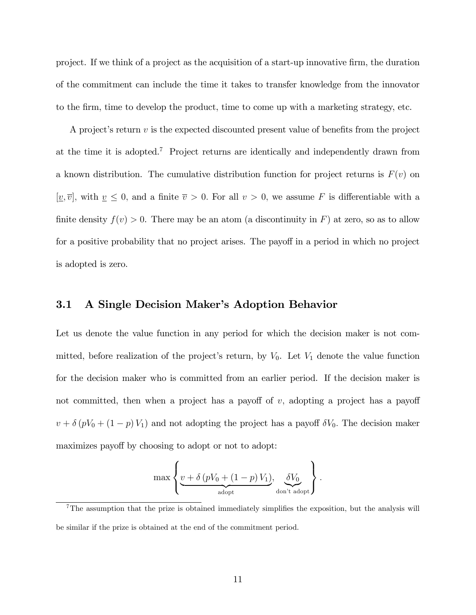project. If we think of a project as the acquisition of a start-up innovative firm, the duration of the commitment can include the time it takes to transfer knowledge from the innovator to the firm, time to develop the product, time to come up with a marketing strategy, etc.

A project's return *v* is the expected discounted present value of benefits from the project at the time it is adopted[.7](#page-11-0) Project returns are identically and independently drawn from a known distribution. The cumulative distribution function for project returns is  $F(v)$  on  $[v,\overline{v}]$ , with  $v \leq 0$ , and a finite  $\overline{v} > 0$ . For all  $v > 0$ , we assume *F* is differentiable with a finite density  $f(v) > 0$ . There may be an atom (a discontinuity in F) at zero, so as to allow for a positive probability that no project arises. The payoff in a period in which no project is adopted is zero.

#### 3.1 A Single Decision Maker's Adoption Behavior

Let us denote the value function in any period for which the decision maker is not committed, before realization of the project's return, by *V*0. Let *V*<sup>1</sup> denote the value function for the decision maker who is committed from an earlier period. If the decision maker is not committed, then when a project has a payoff of  $v$ , adopting a project has a payoff  $v + \delta (pV_0 + (1 - p)V_1)$  and not adopting the project has a payoff  $\delta V_0$ . The decision maker maximizes payoff by choosing to adopt or not to adopt:

$$
\max \left\{\underbrace{v + \delta\left(pV_0 + \left(1-p\right)V_1\right)}_{\text{adopt}}, \underbrace{\delta V_0}_{\text{don't adopt}}\right\}.
$$

<span id="page-11-0"></span><sup>&</sup>lt;sup>7</sup>The assumption that the prize is obtained immediately simplifies the exposition, but the analysis will be similar if the prize is obtained at the end of the commitment period.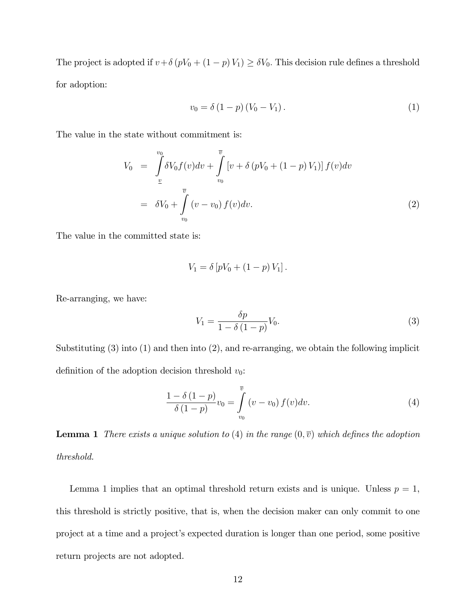The project is adopted if  $v + \delta (pV_0 + (1 - p)V_1) \ge \delta V_0$ . This decision rule defines a threshold for adoption:

<span id="page-12-1"></span>
$$
v_0 = \delta (1 - p) (V_0 - V_1).
$$
 (1)

The value in the state without commitment is:

<span id="page-12-2"></span>
$$
V_0 = \int_{\frac{v}{2}}^{v_0} \delta V_0 f(v) dv + \int_{v_0}^{\overline{v}} \left[ v + \delta (pV_0 + (1 - p) V_1) \right] f(v) dv
$$
  
=  $\delta V_0 + \int_{v_0}^{\overline{v}} (v - v_0) f(v) dv.$  (2)

The value in the committed state is:

$$
V_1 = \delta \left[ pV_0 + (1 - p) V_1 \right].
$$

Re-arranging, we have:

<span id="page-12-0"></span>
$$
V_1 = \frac{\delta p}{1 - \delta \left(1 - p\right)} V_0. \tag{3}
$$

Substituting [\(3\)](#page-12-0) into [\(1\)](#page-12-1) and then into [\(2\)](#page-12-2), and re-arranging, we obtain the following implicit definition of the adoption decision threshold  $v_0$ :

<span id="page-12-3"></span>
$$
\frac{1-\delta(1-p)}{\delta(1-p)}v_0 = \int\limits_{v_0}^{\overline{v}} (v-v_0) f(v)dv.
$$
\n(4)

**Lemma 1** *There exists a unique solution to* [\(4\)](#page-12-3) *in the range*  $(0, \overline{v})$  *which defines the adoption threshold.*

Lemma 1 implies that an optimal threshold return exists and is unique. Unless  $p = 1$ , this threshold is strictly positive, that is, when the decision maker can only commit to one project at a time and a project's expected duration is longer than one period, some positive return projects are not adopted.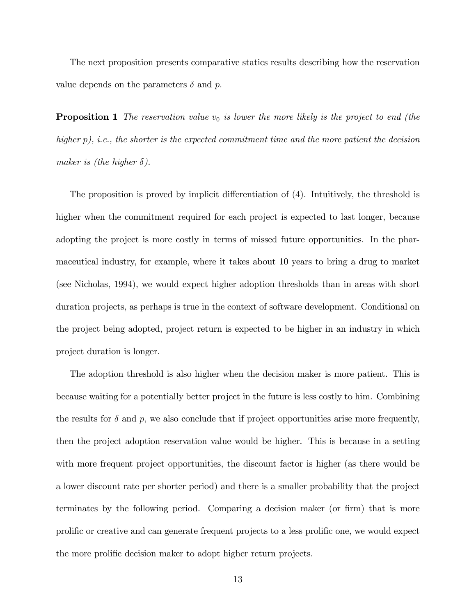The next proposition presents comparative statics results describing how the reservation value depends on the parameters  $\delta$  and  $p$ .

**Proposition 1** *The reservation value*  $v_0$  *is lower the more likely is the project to end (the higher p), i.e., the shorter is the expected commitment time and the more patient the decision maker is (the higher*  $\delta$ *).* 

The proposition is proved by implicit differentiation of [\(4\)](#page-12-3). Intuitively, the threshold is higher when the commitment required for each project is expected to last longer, because adopting the project is more costly in terms of missed future opportunities. In the pharmaceutical industry, for example, where it takes about 10 years to bring a drug to market (see Nicholas, 1994), we would expect higher adoption thresholds than in areas with short duration projects, as perhaps is true in the context of software development. Conditional on the project being adopted, project return is expected to be higher in an industry in which project duration is longer.

The adoption threshold is also higher when the decision maker is more patient. This is because waiting for a potentially better project in the future is less costly to him. Combining the results for  $\delta$  and  $p$ , we also conclude that if project opportunities arise more frequently, then the project adoption reservation value would be higher. This is because in a setting with more frequent project opportunities, the discount factor is higher (as there would be a lower discount rate per shorter period) and there is a smaller probability that the project terminates by the following period. Comparing a decision maker (or firm) that is more prolific or creative and can generate frequent projects to a less prolific one, we would expect the more prolific decision maker to adopt higher return projects.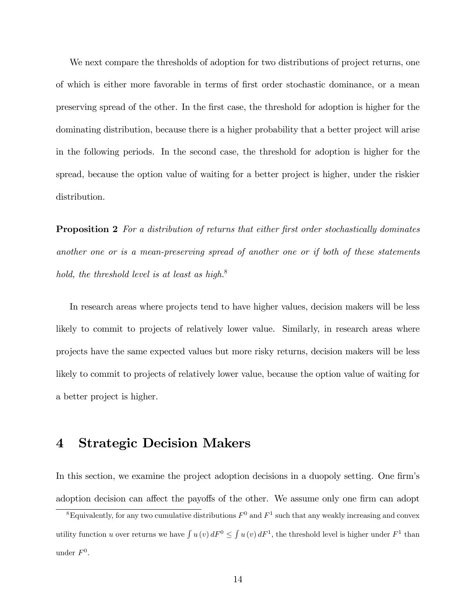We next compare the thresholds of adoption for two distributions of project returns, one of which is either more favorable in terms of first order stochastic dominance, or a mean preserving spread of the other. In the first case, the threshold for adoption is higher for the dominating distribution, because there is a higher probability that a better project will arise in the following periods. In the second case, the threshold for adoption is higher for the spread, because the option value of waiting for a better project is higher, under the riskier distribution.

Proposition 2 *For a distribution of returns that either first order stochastically dominates another one or is a mean-preserving spread of another one or if both of these statements hold, the threshold level is at least as high.*[8](#page-14-0)

In research areas where projects tend to have higher values, decision makers will be less likely to commit to projects of relatively lower value. Similarly, in research areas where projects have the same expected values but more risky returns, decision makers will be less likely to commit to projects of relatively lower value, because the option value of waiting for a better project is higher.

## 4 Strategic Decision Makers

In this section, we examine the project adoption decisions in a duopoly setting. One firm's adoption decision can affect the payoffs of the other. We assume only one firm can adopt

<span id="page-14-0"></span><sup>&</sup>lt;sup>8</sup>Equivalently, for any two cumulative distributions  $F^0$  and  $F^1$  such that any weakly increasing and convex utility function *u* over returns we have  $\int u(v) dF^0 \leq \int u(v) dF^1$ , the threshold level is higher under  $F^1$  than under  $F^0$ .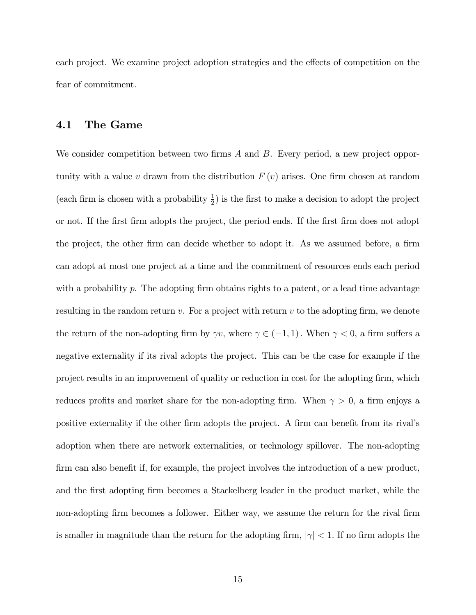each project. We examine project adoption strategies and the effects of competition on the fear of commitment.

#### 4.1 The Game

We consider competition between two firms *A* and *B*. Every period, a new project opportunity with a value  $v$  drawn from the distribution  $F(v)$  arises. One firm chosen at random (each firm is chosen with a probability  $\frac{1}{2}$ ) is the first to make a decision to adopt the project or not. If the first firm adopts the project, the period ends. If the first firm does not adopt the project, the other firm can decide whether to adopt it. As we assumed before, a firm can adopt at most one project at a time and the commitment of resources ends each period with a probability p. The adopting firm obtains rights to a patent, or a lead time advantage resulting in the random return *v*. For a project with return *v* to the adopting firm, we denote the return of the non-adopting firm by  $\gamma v$ , where  $\gamma \in (-1, 1)$ . When  $\gamma < 0$ , a firm suffers a negative externality if its rival adopts the project. This can be the case for example if the project results in an improvement of quality or reduction in cost for the adopting firm, which reduces profits and market share for the non-adopting firm. When  $\gamma > 0$ , a firm enjoys a positive externality if the other firm adopts the project. A firm can benefit from its rival's adoption when there are network externalities, or technology spillover. The non-adopting firm can also benefit if, for example, the project involves the introduction of a new product, and the first adopting firm becomes a Stackelberg leader in the product market, while the non-adopting firm becomes a follower. Either way, we assume the return for the rival firm is smaller in magnitude than the return for the adopting firm,  $|\gamma|$  < 1. If no firm adopts the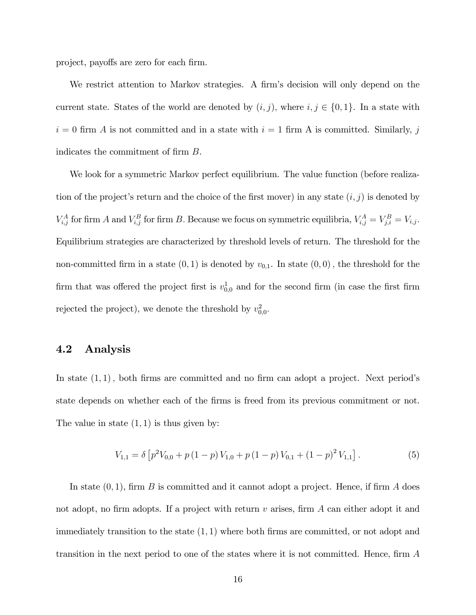project, payoffs are zero for each firm.

We restrict attention to Markov strategies. A firm's decision will only depend on the current state. States of the world are denoted by  $(i, j)$ , where  $i, j \in \{0, 1\}$ . In a state with  $i = 0$  firm *A* is not committed and in a state with  $i = 1$  firm A is committed. Similarly, *j* indicates the commitment of firm *B*.

We look for a symmetric Markov perfect equilibrium. The value function (before realization of the project's return and the choice of the first mover) in any state  $(i, j)$  is denoted by  $V_{i,j}^A$  for firm A and  $V_{i,j}^B$  for firm B. Because we focus on symmetric equilibria,  $V_{i,j}^A = V_{j,i}^B = V_{i,j}$ . Equilibrium strategies are characterized by threshold levels of return. The threshold for the non-committed firm in a state  $(0, 1)$  is denoted by  $v_{0,1}$ . In state  $(0, 0)$ , the threshold for the firm that was offered the project first is  $v_{0,0}^1$  and for the second firm (in case the first firm rejected the project), we denote the threshold by  $v_{0,0}^2$ .

#### 4.2 Analysis

In state (1*,* 1)*,* both firms are committed and no firm can adopt a project. Next period's state depends on whether each of the firms is freed from its previous commitment or not. The value in state (1*,* 1) is thus given by:

<span id="page-16-0"></span>
$$
V_{1,1} = \delta \left[ p^2 V_{0,0} + p \left( 1 - p \right) V_{1,0} + p \left( 1 - p \right) V_{0,1} + \left( 1 - p \right)^2 V_{1,1} \right]. \tag{5}
$$

In state (0*,* 1), firm *B* is committed and it cannot adopt a project. Hence, if firm *A* does not adopt, no firm adopts. If a project with return *v* arises, firm *A* can either adopt it and immediately transition to the state (1*,* 1) where both firms are committed, or not adopt and transition in the next period to one of the states where it is not committed. Hence, firm *A*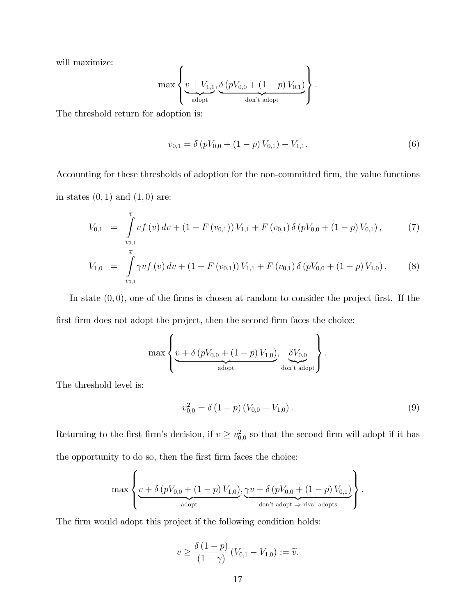will maximize:

$$
\max\left\{\underbrace{v + V_{1,1}}_{\text{adopt}}, \underbrace{\delta\left(pV_{0,0} + \left(1-p\right)V_{0,1}\right)}_{\text{don't adopt}}\right\}.
$$

The threshold return for adoption is:

<span id="page-17-1"></span>
$$
v_{0,1} = \delta \left( pV_{0,0} + (1-p) V_{0,1} \right) - V_{1,1}.
$$
 (6)

Accounting for these thresholds of adoption for the non-committed firm, the value functions in states (0*,* 1) and (1*,* 0) are:

<span id="page-17-0"></span>
$$
V_{0,1} = \int_{v_{0,1}}^{\overline{v}} v f(v) dv + (1 - F(v_{0,1})) V_{1,1} + F(v_{0,1}) \delta (pV_{0,0} + (1 - p) V_{0,1}),
$$
(7)  

$$
V_{1,0} = \int_{v_{0,1}}^{\overline{v}} \gamma v f(v) dv + (1 - F(v_{0,1})) V_{1,1} + F(v_{0,1}) \delta (pV_{0,0} + (1 - p) V_{1,0}).
$$
(8)

In state  $(0,0)$ , one of the firms is chosen at random to consider the project first. If the first firm does not adopt the project, then the second firm faces the choice:

$$
\max \left\{\underbrace{v + \delta\left(pV_{0,0} + \left(1-p\right)V_{1,0}\right)}_{\text{adopt}}, \underbrace{\delta V_{0,0}}_{\text{don't adopt}}\right\}.
$$

The threshold level is:

<span id="page-17-2"></span>
$$
v_{0,0}^2 = \delta (1 - p) (V_{0,0} - V_{1,0}). \tag{9}
$$

Returning to the first firm's decision, if  $v \geq v_{0,0}^2$  so that the second firm will adopt if it has the opportunity to do so, then the first firm faces the choice:

$$
\max \left\{\underbrace{v + \delta\left(pV_{0,0} + \left(1-p\right)V_{1,0}\right)}_{\text{adopt}}, \underbrace{\gamma v + \delta\left(pV_{0,0} + \left(1-p\right)V_{0,1}\right)}_{\text{don't adopt}}\right\}.
$$

The firm would adopt this project if the following condition holds:

$$
v \ge \frac{\delta (1-p)}{(1-\gamma)} (V_{0,1} - V_{1,0}) := \tilde{v}.
$$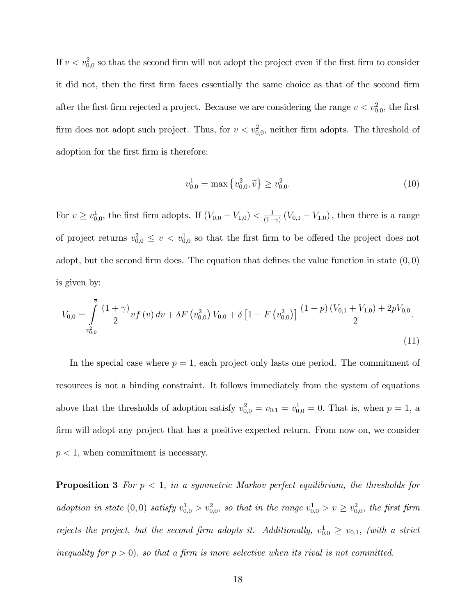If  $v < v_{0,0}^2$  so that the second firm will not adopt the project even if the first firm to consider it did not, then the first firm faces essentially the same choice as that of the second firm after the first firm rejected a project. Because we are considering the range  $v < v_{0,0}^2$ , the first firm does not adopt such project. Thus, for  $v < v_{0,0}^2$ , neither firm adopts. The threshold of adoption for the first firm is therefore:

<span id="page-18-0"></span>
$$
v_{0,0}^1 = \max\left\{v_{0,0}^2, \tilde{v}\right\} \ge v_{0,0}^2. \tag{10}
$$

For  $v \ge v_{0,0}^1$ , the first firm adopts. If  $(V_{0,0} - V_{1,0}) < \frac{1}{(1-\gamma)} (V_{0,1} - V_{1,0})$ , then there is a range of project returns  $v_{0,0}^2 \leq v \leq v_{0,0}^1$  so that the first firm to be offered the project does not adopt, but the second firm does. The equation that defines the value function in state (0*,* 0) is given by:

<span id="page-18-1"></span>
$$
V_{0,0} = \int_{\substack{v_{0,0}^2}}^{\overline{v}} \frac{(1+\gamma)}{2} vf(v) dv + \delta F(v_{0,0}^2) V_{0,0} + \delta \left[1 - F(v_{0,0}^2)\right] \frac{(1-p)(V_{0,1} + V_{1,0}) + 2pV_{0,0}}{2}.
$$
\n(11)

In the special case where  $p = 1$ , each project only lasts one period. The commitment of resources is not a binding constraint. It follows immediately from the system of equations above that the thresholds of adoption satisfy  $v_{0,0}^2 = v_{0,1} = v_{0,0}^1 = 0$ . That is, when  $p = 1$ , a firm will adopt any project that has a positive expected return. From now on, we consider  $p < 1$ , when commitment is necessary.

Proposition 3 *For p <* 1*, in a symmetric Markov perfect equilibrium, the thresholds for adoption in state* (0,0) *satisfy*  $v_{0,0}^1 > v_{0,0}^2$ , *so that in the range*  $v_{0,0}^1 > v \geq v_{0,0}^2$ , *the first firm rejects the project, but the second firm adopts it. Additionally,*  $v_{0,0}^1 \ge v_{0,1}$ , (with a strict *inequality for*  $p > 0$ *), so that a firm is more selective when its rival is not committed.*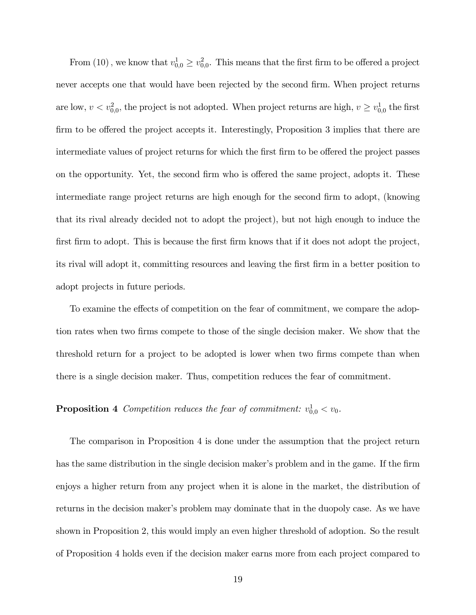From [\(10\)](#page-18-0), we know that  $v_{0,0}^1 \ge v_{0,0}^2$ . This means that the first firm to be offered a project never accepts one that would have been rejected by the second firm. When project returns are low,  $v < v_{0,0}^2$ , the project is not adopted. When project returns are high,  $v \ge v_{0,0}^1$  the first firm to be offered the project accepts it. Interestingly, Proposition 3 implies that there are intermediate values of project returns for which the first firm to be offered the project passes on the opportunity. Yet, the second firm who is offered the same project, adopts it. These intermediate range project returns are high enough for the second firm to adopt, (knowing that its rival already decided not to adopt the project), but not high enough to induce the first firm to adopt. This is because the first firm knows that if it does not adopt the project, its rival will adopt it, committing resources and leaving the first firm in a better position to adopt projects in future periods.

To examine the effects of competition on the fear of commitment, we compare the adoption rates when two firms compete to those of the single decision maker. We show that the threshold return for a project to be adopted is lower when two firms compete than when there is a single decision maker. Thus, competition reduces the fear of commitment.

### **Proposition 4** Competition reduces the fear of commitment:  $v_{0,0}^1 < v_0$ .

The comparison in Proposition 4 is done under the assumption that the project return has the same distribution in the single decision maker's problem and in the game. If the firm enjoys a higher return from any project when it is alone in the market, the distribution of returns in the decision maker's problem may dominate that in the duopoly case. As we have shown in Proposition 2, this would imply an even higher threshold of adoption. So the result of Proposition 4 holds even if the decision maker earns more from each project compared to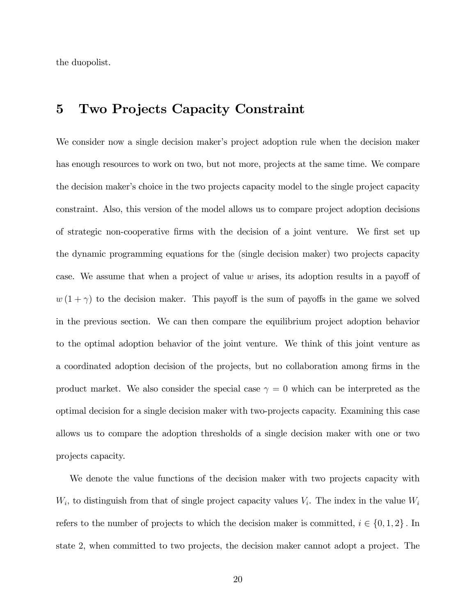the duopolist.

## 5 Two Projects Capacity Constraint

We consider now a single decision maker's project adoption rule when the decision maker has enough resources to work on two, but not more, projects at the same time. We compare the decision maker's choice in the two projects capacity model to the single project capacity constraint. Also, this version of the model allows us to compare project adoption decisions of strategic non-cooperative firms with the decision of a joint venture. We first set up the dynamic programming equations for the (single decision maker) two projects capacity case. We assume that when a project of value  $w$  arises, its adoption results in a payoff of  $w(1+\gamma)$  to the decision maker. This payoff is the sum of payoffs in the game we solved in the previous section. We can then compare the equilibrium project adoption behavior to the optimal adoption behavior of the joint venture. We think of this joint venture as a coordinated adoption decision of the projects, but no collaboration among firms in the product market. We also consider the special case  $\gamma = 0$  which can be interpreted as the optimal decision for a single decision maker with two-projects capacity. Examining this case allows us to compare the adoption thresholds of a single decision maker with one or two projects capacity.

We denote the value functions of the decision maker with two projects capacity with  $W_i$ , to distinguish from that of single project capacity values  $V_i$ . The index in the value  $W_i$ refers to the number of projects to which the decision maker is committed,  $i \in \{0, 1, 2\}$ . In state 2, when committed to two projects, the decision maker cannot adopt a project. The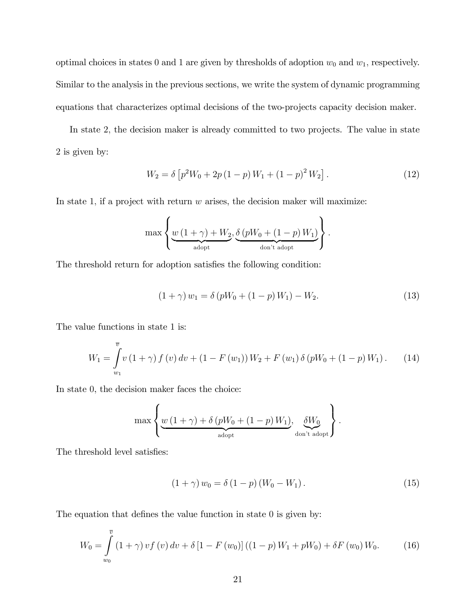optimal choices in states 0 and 1 are given by thresholds of adoption  $w_0$  and  $w_1$ , respectively. Similar to the analysis in the previous sections, we write the system of dynamic programming equations that characterizes optimal decisions of the two-projects capacity decision maker.

In state 2*,* the decision maker is already committed to two projects. The value in state 2 is given by:

<span id="page-21-0"></span>
$$
W_2 = \delta \left[ p^2 W_0 + 2p (1 - p) W_1 + (1 - p)^2 W_2 \right].
$$
 (12)

In state 1*,* if a project with return *w* arises, the decision maker will maximize:

$$
\max \left\{ \underbrace{w\left(1+\gamma\right)+W_2}_{\text{adopt}}, \underbrace{\delta\left(pW_0+\left(1-p\right)W_1\right)}_{\text{don't adopt}} \right\}.
$$

The threshold return for adoption satisfies the following condition:

<span id="page-21-2"></span>
$$
(1 + \gamma) w_1 = \delta (pW_0 + (1 - p) W_1) - W_2.
$$
 (13)

The value functions in state 1 is:

<span id="page-21-3"></span>
$$
W_{1} = \int_{w_{1}}^{\overline{v}} v(1+\gamma) f(v) dv + (1 - F(w_{1})) W_{2} + F(w_{1}) \delta (pW_{0} + (1-p) W_{1}). \tag{14}
$$

In state 0, the decision maker faces the choice:

$$
\max \left\{ \underbrace{w (1 + \gamma) + \delta (pW_0 + (1 - p) W_1)}_{\text{adopt}}, \underbrace{\delta W_0}_{\text{don't adopt}} \right\}.
$$

The threshold level satisfies:

<span id="page-21-4"></span>
$$
(1+\gamma) w_0 = \delta (1-p) (W_0 - W_1).
$$
 (15)

The equation that defines the value function in state 0 is given by:

<span id="page-21-1"></span>
$$
W_0 = \int_{w_0}^{\overline{v}} (1+\gamma) \, vf \, (v) \, dv + \delta \left[1 - F \, (w_0)\right] \left((1-p) \, W_1 + p W_0\right) + \delta F \, (w_0) \, W_0. \tag{16}
$$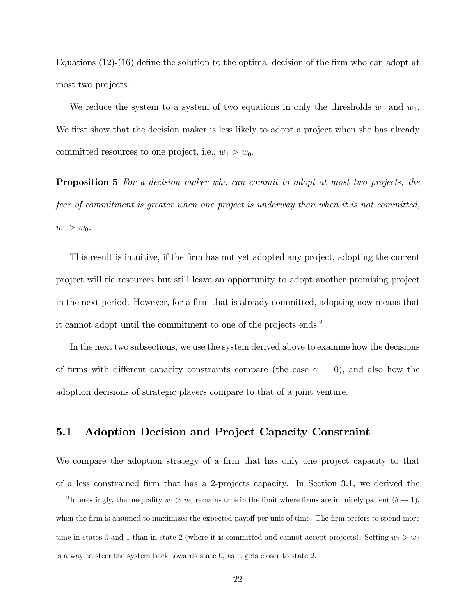Equations [\(12\)](#page-21-0)-[\(16\)](#page-21-1) define the solution to the optimal decision of the firm who can adopt at most two projects.

We reduce the system to a system of two equations in only the thresholds  $w_0$  and  $w_1$ . We first show that the decision maker is less likely to adopt a project when she has already committed resources to one project, i.e.,  $w_1 > w_0$ .

Proposition 5 *For a decision maker who can commit to adopt at most two projects, the fear of commitment is greater when one project is underway than when it is not committed,*  $w_1 > w_0$ .

This result is intuitive, if the firm has not yet adopted any project, adopting the current project will tie resources but still leave an opportunity to adopt another promising project in the next period. However, for a firm that is already committed, adopting now means that it cannot adopt until the commitment to one of the projects ends.<sup>9</sup>

In the next two subsections, we use the system derived above to examine how the decisions of firms with different capacity constraints compare (the case  $\gamma = 0$ ), and also how the adoption decisions of strategic players compare to that of a joint venture.

#### 5.1 Adoption Decision and Project Capacity Constraint

We compare the adoption strategy of a firm that has only one project capacity to that of a less constrained firm that has a 2-projects capacity. In Section 3.1, we derived the

<span id="page-22-0"></span><sup>&</sup>lt;sup>9</sup> Interestingly, the inequality  $w_1 > w_0$  remains true in the limit where firms are infinitely patient  $(\delta \to 1)$ , when the firm is assumed to maximizes the expected payoff per unit of time. The firm prefers to spend more time in states 0 and 1 than in state 2 (where it is committed and cannot accept projects). Setting  $w_1 > w_0$ is a way to steer the system back towards state 0*,* as it gets closer to state 2*.*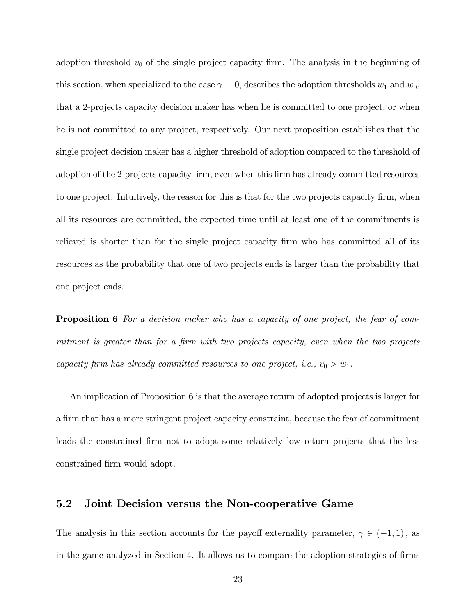adoption threshold  $v_0$  of the single project capacity firm. The analysis in the beginning of this section, when specialized to the case  $\gamma = 0$ , describes the adoption thresholds  $w_1$  and  $w_0$ , that a 2-projects capacity decision maker has when he is committed to one project, or when he is not committed to any project, respectively. Our next proposition establishes that the single project decision maker has a higher threshold of adoption compared to the threshold of adoption of the 2-projects capacity firm, even when this firm has already committed resources to one project. Intuitively, the reason for this is that for the two projects capacity firm, when all its resources are committed, the expected time until at least one of the commitments is relieved is shorter than for the single project capacity firm who has committed all of its resources as the probability that one of two projects ends is larger than the probability that one project ends.

Proposition 6 *For a decision maker who has a capacity of one project, the fear of commitment is greater than for a firm with two projects capacity, even when the two projects capacity firm has already committed resources to one project, i.e.,*  $v_0 > w_1$ .

An implication of Proposition 6 is that the average return of adopted projects is larger for a firm that has a more stringent project capacity constraint, because the fear of commitment leads the constrained firm not to adopt some relatively low return projects that the less constrained firm would adopt.

#### 5.2 Joint Decision versus the Non-cooperative Game

The analysis in this section accounts for the payoff externality parameter,  $\gamma \in (-1,1)$ , as in the game analyzed in Section 4. It allows us to compare the adoption strategies of firms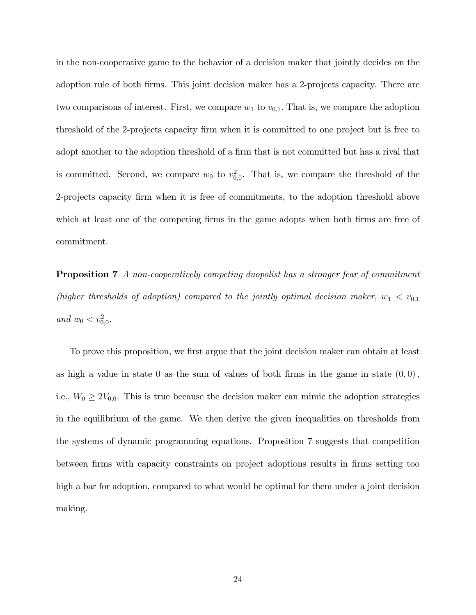in the non-cooperative game to the behavior of a decision maker that jointly decides on the adoption rule of both firms. This joint decision maker has a 2-projects capacity. There are two comparisons of interest. First, we compare  $w_1$  to  $v_{0,1}$ . That is, we compare the adoption threshold of the 2-projects capacity firm when it is committed to one project but is free to adopt another to the adoption threshold of a firm that is not committed but has a rival that is committed. Second, we compare  $w_0$  to  $v_{0,0}^2$ . That is, we compare the threshold of the 2-projects capacity firm when it is free of commitments, to the adoption threshold above which at least one of the competing firms in the game adopts when both firms are free of commitment.

Proposition 7 *A non-cooperatively competing duopolist has a stronger fear of commitment (higher thresholds of adoption) compared to the jointly optimal decision maker,*  $w_1 < v_{0,1}$ *and*  $w_0 < v_{0,0}^2$ .

To prove this proposition, we first argue that the joint decision maker can obtain at least as high a value in state 0 as the sum of values of both firms in the game in state  $(0,0)$ , i.e.,  $W_0 \geq 2V_{0,0}$ . This is true because the decision maker can mimic the adoption strategies in the equilibrium of the game. We then derive the given inequalities on thresholds from the systems of dynamic programming equations. Proposition 7 suggests that competition between firms with capacity constraints on project adoptions results in firms setting too high a bar for adoption, compared to what would be optimal for them under a joint decision making.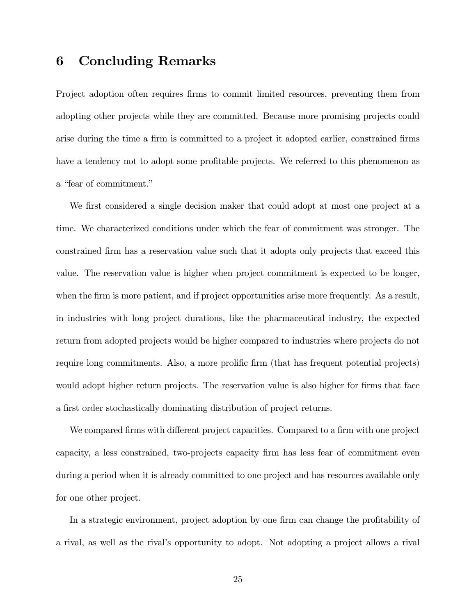## 6 Concluding Remarks

Project adoption often requires firms to commit limited resources, preventing them from adopting other projects while they are committed. Because more promising projects could arise during the time a firm is committed to a project it adopted earlier, constrained firms have a tendency not to adopt some profitable projects. We referred to this phenomenon as a "fear of commitment."

We first considered a single decision maker that could adopt at most one project at a time. We characterized conditions under which the fear of commitment was stronger. The constrained firm has a reservation value such that it adopts only projects that exceed this value. The reservation value is higher when project commitment is expected to be longer, when the firm is more patient, and if project opportunities arise more frequently. As a result, in industries with long project durations, like the pharmaceutical industry, the expected return from adopted projects would be higher compared to industries where projects do not require long commitments. Also, a more prolific firm (that has frequent potential projects) would adopt higher return projects. The reservation value is also higher for firms that face a first order stochastically dominating distribution of project returns.

We compared firms with different project capacities. Compared to a firm with one project capacity, a less constrained, two-projects capacity firm has less fear of commitment even during a period when it is already committed to one project and has resources available only for one other project.

In a strategic environment, project adoption by one firm can change the profitability of a rival, as well as the rival's opportunity to adopt. Not adopting a project allows a rival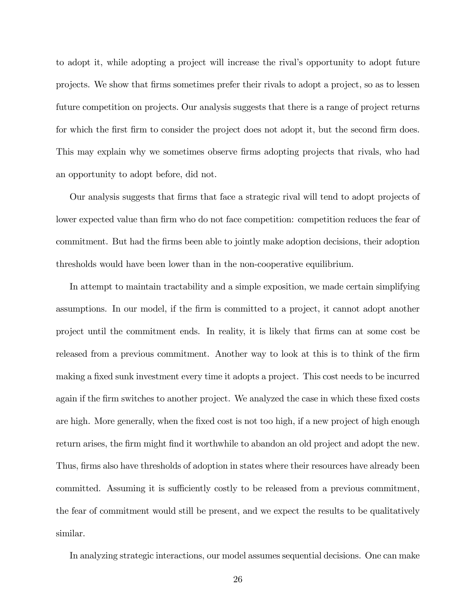to adopt it, while adopting a project will increase the rival's opportunity to adopt future projects. We show that firms sometimes prefer their rivals to adopt a project, so as to lessen future competition on projects. Our analysis suggests that there is a range of project returns for which the first firm to consider the project does not adopt it, but the second firm does. This may explain why we sometimes observe firms adopting projects that rivals, who had an opportunity to adopt before, did not.

Our analysis suggests that firms that face a strategic rival will tend to adopt projects of lower expected value than firm who do not face competition: competition reduces the fear of commitment. But had the firms been able to jointly make adoption decisions, their adoption thresholds would have been lower than in the non-cooperative equilibrium.

In attempt to maintain tractability and a simple exposition, we made certain simplifying assumptions. In our model, if the firm is committed to a project, it cannot adopt another project until the commitment ends. In reality, it is likely that firms can at some cost be released from a previous commitment. Another way to look at this is to think of the firm making a fixed sunk investment every time it adopts a project. This cost needs to be incurred again if the firm switches to another project. We analyzed the case in which these fixed costs are high. More generally, when the fixed cost is not too high, if a new project of high enough return arises, the firm might find it worthwhile to abandon an old project and adopt the new. Thus, firms also have thresholds of adoption in states where their resources have already been committed. Assuming it is sufficiently costly to be released from a previous commitment, the fear of commitment would still be present, and we expect the results to be qualitatively similar.

In analyzing strategic interactions, our model assumes sequential decisions. One can make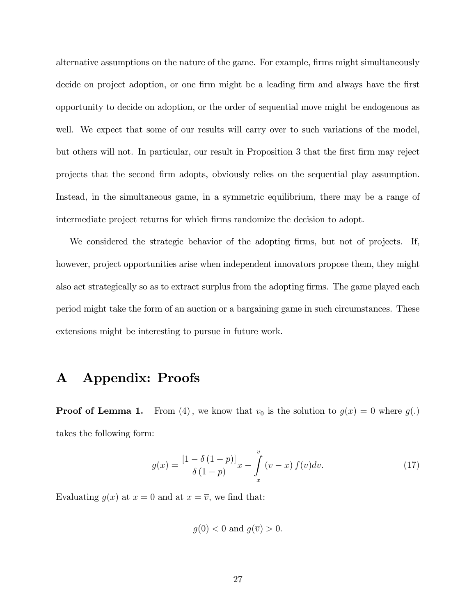alternative assumptions on the nature of the game. For example, firms might simultaneously decide on project adoption, or one firm might be a leading firm and always have the first opportunity to decide on adoption, or the order of sequential move might be endogenous as well. We expect that some of our results will carry over to such variations of the model, but others will not. In particular, our result in Proposition 3 that the first firm may reject projects that the second firm adopts, obviously relies on the sequential play assumption. Instead, in the simultaneous game, in a symmetric equilibrium, there may be a range of intermediate project returns for which firms randomize the decision to adopt.

We considered the strategic behavior of the adopting firms, but not of projects. If, however, project opportunities arise when independent innovators propose them, they might also act strategically so as to extract surplus from the adopting firms. The game played each period might take the form of an auction or a bargaining game in such circumstances. These extensions might be interesting to pursue in future work.

### A Appendix: Proofs

**Proof of Lemma 1.** From [\(4\)](#page-12-3), we know that  $v_0$  is the solution to  $g(x) = 0$  where  $g(.)$ takes the following form:

<span id="page-27-0"></span>
$$
g(x) = \frac{[1 - \delta(1 - p)]}{\delta(1 - p)}x - \int_{x}^{\overline{v}} (v - x) f(v) dv.
$$
 (17)

Evaluating  $q(x)$  at  $x = 0$  and at  $x = \overline{v}$ , we find that:

$$
g(0) < 0 \text{ and } g(\overline{v}) > 0.
$$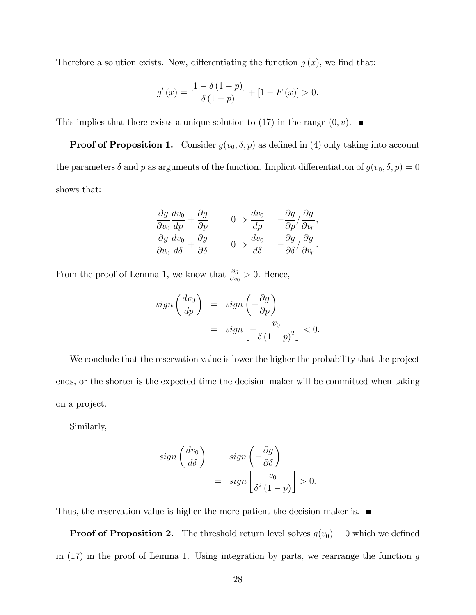Therefore a solution exists. Now, differentiating the function  $g(x)$ , we find that:

$$
g'(x) = \frac{[1 - \delta (1 - p)]}{\delta (1 - p)} + [1 - F(x)] > 0.
$$

This implies that there exists a unique solution to [\(17\)](#page-27-0) in the range  $(0, \overline{v})$ .

**Proof of Proposition 1.** Consider  $g(v_0, \delta, p)$  as defined in [\(4\)](#page-12-3) only taking into account the parameters  $\delta$  and  $p$  as arguments of the function. Implicit differentiation of  $g(v_0, \delta, p) = 0$ shows that:

$$
\frac{\partial g}{\partial v_0} \frac{dv_0}{dp} + \frac{\partial g}{\partial p} = 0 \Rightarrow \frac{dv_0}{dp} = -\frac{\partial g}{\partial p} / \frac{\partial g}{\partial v_0},
$$
  

$$
\frac{\partial g}{\partial v_0} \frac{dv_0}{d\delta} + \frac{\partial g}{\partial \delta} = 0 \Rightarrow \frac{dv_0}{d\delta} = -\frac{\partial g}{\partial \delta} / \frac{\partial g}{\partial v_0}.
$$

From the proof of Lemma 1, we know that  $\frac{\partial g}{\partial v_0} > 0$ . Hence,

$$
sign\left(\frac{dv_0}{dp}\right) = sign\left(-\frac{\partial g}{\partial p}\right)
$$
  
= sign  $\left[-\frac{v_0}{\delta(1-p)^2}\right] < 0.$ 

We conclude that the reservation value is lower the higher the probability that the project ends, or the shorter is the expected time the decision maker will be committed when taking on a project.

Similarly,

$$
sign\left(\frac{dv_0}{d\delta}\right) = sign\left(-\frac{\partial g}{\partial \delta}\right)
$$
  
= sign  $\left[\frac{v_0}{\delta^2(1-p)}\right] > 0$ .

Thus, the reservation value is higher the more patient the decision maker is.  $\blacksquare$ 

**Proof of Proposition 2.** The threshold return level solves  $g(v_0)=0$  which we defined in [\(17\)](#page-27-0) in the proof of Lemma 1. Using integration by parts, we rearrange the function *g*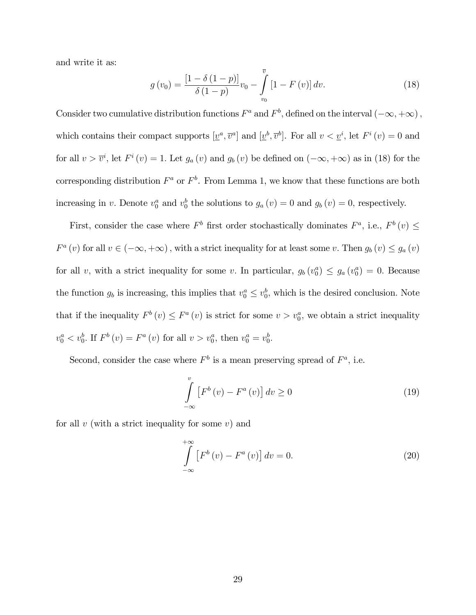and write it as:

<span id="page-29-0"></span>
$$
g(v_0) = \frac{\left[1 - \delta\left(1 - p\right)\right]}{\delta\left(1 - p\right)} v_0 - \int_{v_0}^{\overline{v}} \left[1 - F\left(v\right)\right] dv. \tag{18}
$$

Consider two cumulative distribution functions  $F^a$  and  $F^b$ , defined on the interval  $(-\infty, +\infty)$ , which contains their compact supports  $[\underline{v}^a, \overline{v}^a]$  and  $[\underline{v}^b, \overline{v}^b]$ . For all  $v < \underline{v}^i$ , let  $F^i(v) = 0$  and for all  $v > \overline{v}^i$ , let  $F^i(v) = 1$ . Let  $g_a(v)$  and  $g_b(v)$  be defined on  $(-\infty, +\infty)$  as in [\(18\)](#page-29-0) for the corresponding distribution  $F^a$  or  $F^b$ . From Lemma 1, we know that these functions are both increasing in *v*. Denote  $v_0^a$  and  $v_0^b$  the solutions to  $g_a(v) = 0$  and  $g_b(v) = 0$ , respectively.

First, consider the case where  $F^b$  first order stochastically dominates  $F^a$ , i.e.,  $F^b(v) \leq$  $F^a(v)$  for all  $v \in (-\infty, +\infty)$ , with a strict inequality for at least some *v*. Then  $g_b(v) \le g_a(v)$ for all *v*, with a strict inequality for some *v*. In particular,  $g_b(v_0^a) \leq g_a(v_0^a) = 0$ . Because the function  $g_b$  is increasing, this implies that  $v_0^a \leq v_0^b$ , which is the desired conclusion. Note that if the inequality  $F^b(v) \leq F^a(v)$  is strict for some  $v > v_0^a$ , we obtain a strict inequality  $v_0^a < v_0^b$ . If  $F^b(v) = F^a(v)$  for all  $v > v_0^a$ , then  $v_0^a = v_0^b$ .

Second, consider the case where  $F^b$  is a mean preserving spread of  $F^a$ , i.e.

<span id="page-29-2"></span>
$$
\int_{-\infty}^{v} \left[ F^{b}(v) - F^{a}(v) \right] dv \ge 0
$$
\n(19)

for all *v* (with a strict inequality for some *v*) and

<span id="page-29-1"></span>
$$
\int_{-\infty}^{+\infty} \left[ F^b(v) - F^a(v) \right] dv = 0.
$$
\n(20)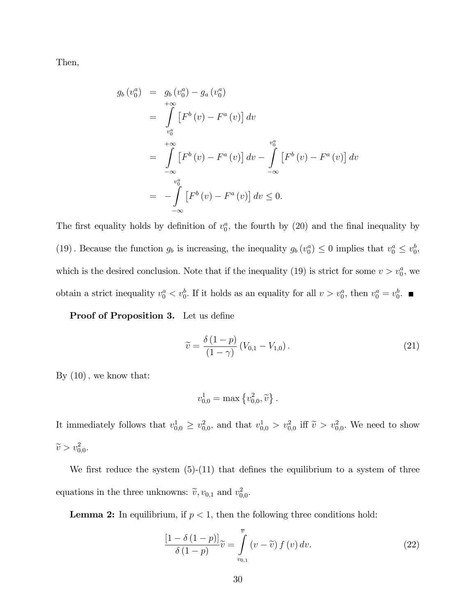Then,

$$
g_b(v_0^a) = g_b(v_0^a) - g_a(v_0^a)
$$
  
\n
$$
= \int_{v_0^a}^{\infty} [F^b(v) - F^a(v)] dv
$$
  
\n
$$
= \int_{-\infty}^{+\infty} [F^b(v) - F^a(v)] dv - \int_{-\infty}^{v_0^a} [F^b(v) - F^a(v)] dv
$$
  
\n
$$
= -\int_{-\infty}^{v_0^a} [F^b(v) - F^a(v)] dv \le 0.
$$

The first equality holds by definition of  $v_0^a$ , the fourth by [\(20\)](#page-29-1) and the final inequality by [\(19\)](#page-29-2). Because the function  $g_b$  is increasing, the inequality  $g_b(v_0^a) \leq 0$  implies that  $v_0^a \leq v_0^b$ , which is the desired conclusion. Note that if the inequality [\(19\)](#page-29-2) is strict for some  $v > v_0^a$ , we obtain a strict inequality  $v_0^a < v_0^b$ . If it holds as an equality for all  $v > v_0^a$ , then  $v_0^a = v_0^b$ .

Proof of Proposition 3. Let us define

<span id="page-30-0"></span>
$$
\widetilde{v} = \frac{\delta (1 - p)}{(1 - \gamma)} (V_{0,1} - V_{1,0}).
$$
\n(21)

By [\(10\)](#page-18-0)*,* we know that:

$$
v_{0,0}^1 = \max\left\{v_{0,0}^2, \tilde{v}\right\}.
$$

It immediately follows that  $v_{0,0}^1 \ge v_{0,0}^2$ , and that  $v_{0,0}^1 > v_{0,0}^2$  iff  $\tilde{v} > v_{0,0}^2$ . We need to show  $\widetilde{v} > v_{0,0}^2$ .

We first reduce the system  $(5)-(11)$  $(5)-(11)$  $(5)-(11)$  that defines the equilibrium to a system of three equations in the three unknowns:  $\tilde{v}, v_{0,1}$  and  $v_{0,0}^2$ .

**Lemma 2:** In equilibrium, if  $p < 1$ , then the following three conditions hold:

<span id="page-30-1"></span>
$$
\frac{\left[1-\delta\left(1-p\right)\right]}{\delta\left(1-p\right)}\widetilde{v} = \int\limits_{v_{0,1}}^{\overline{v}} \left(v-\widetilde{v}\right)f\left(v\right)dv.
$$
\n(22)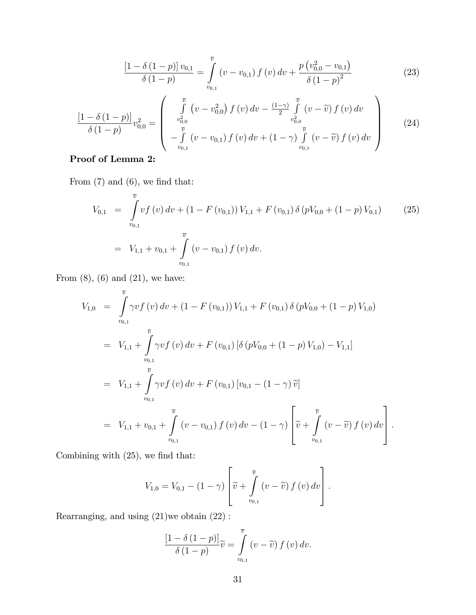<span id="page-31-1"></span>
$$
\frac{\left[1-\delta\left(1-p\right)\right]v_{0,1}}{\delta\left(1-p\right)} = \int\limits_{v_{0,1}}^{\overline{v}} \left(v-v_{0,1}\right) f\left(v\right) dv + \frac{p\left(v_{0,0}^{2}-v_{0,1}\right)}{\delta\left(1-p\right)^{2}} \tag{23}
$$

<span id="page-31-2"></span>
$$
\frac{\left[1-\delta\left(1-p\right)\right]}{\delta\left(1-p\right)}v_{0,0}^{2} = \begin{pmatrix} \bar{v} & (v-v_{0,0}^{2}) & f\left(v\right)dv - \frac{(1-\gamma)}{2} \int\limits_{v_{0,0}^{2}}^{\bar{v}}\left(v-\tilde{v}\right)f\left(v\right)dv \\ \bar{v}_{0,0} & \bar{v} \\ -\int\limits_{v_{0,1}}^{\bar{v}}\left(v-v_{0,1}\right)f\left(v\right)dv + \left(1-\gamma\right)\int\limits_{v_{0,1}}^{\bar{v}}\left(v-\tilde{v}\right)f\left(v\right)dv \end{pmatrix} \tag{24}
$$

#### Proof of Lemma 2:

From  $(7)$  and  $(6)$ , we find that:

<span id="page-31-0"></span>
$$
V_{0,1} = \int_{v_{0,1}}^{\overline{v}} v f(v) dv + (1 - F(v_{0,1})) V_{1,1} + F(v_{0,1}) \delta (pV_{0,0} + (1 - p) V_{0,1})
$$
 (25)  

$$
= V_{1,1} + v_{0,1} + \int_{v_{0,1}}^{\overline{v}} (v - v_{0,1}) f(v) dv.
$$

From  $(8)$ ,  $(6)$  and  $(21)$ , we have:

$$
V_{1,0} = \int_{v_{0,1}}^{\overline{v}} \gamma v f(v) dv + (1 - F(v_{0,1})) V_{1,1} + F(v_{0,1}) \delta (pV_{0,0} + (1 - p) V_{1,0})
$$
  
\n
$$
= V_{1,1} + \int_{v_{0,1}}^{\overline{v}} \gamma v f(v) dv + F(v_{0,1}) [\delta (pV_{0,0} + (1 - p) V_{1,0}) - V_{1,1}]
$$
  
\n
$$
= V_{1,1} + \int_{v_{0,1}}^{\overline{v}} \gamma v f(v) dv + F(v_{0,1}) [v_{0,1} - (1 - \gamma) \tilde{v}]
$$
  
\n
$$
= V_{1,1} + v_{0,1} + \int_{v_{0,1}}^{\overline{v}} (v - v_{0,1}) f(v) dv - (1 - \gamma) \left[ \tilde{v} + \int_{v_{0,1}}^{\overline{v}} (v - \tilde{v}) f(v) dv \right].
$$

Combining with [\(25\)](#page-31-0), we find that:

$$
V_{1,0} = V_{0,1} - (1 - \gamma) \left[ \widetilde{v} + \int\limits_{v_{0,1}}^{\overline{v}} (v - \widetilde{v}) f(v) dv \right].
$$

Rearranging, and using [\(21\)](#page-30-0)we obtain [\(22\)](#page-30-1) :

$$
\frac{\left[1-\delta\left(1-p\right)\right]}{\delta\left(1-p\right)}\widetilde{v}=\intop_{v_{0,1}}^{\overline{v}}\left(v-\widetilde{v}\right)f\left(v\right)dv.
$$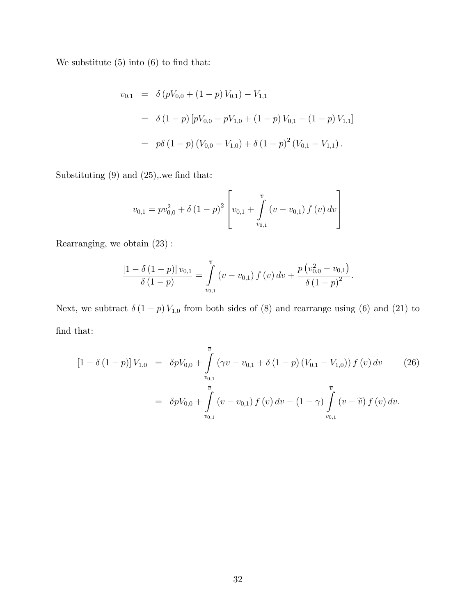We substitute  $(5)$  into  $(6)$  to find that:

$$
v_{0,1} = \delta (pV_{0,0} + (1-p) V_{0,1}) - V_{1,1}
$$
  
=  $\delta (1-p) [pV_{0,0} - pV_{1,0} + (1-p) V_{0,1} - (1-p) V_{1,1}]$   
=  $p\delta (1-p) (V_{0,0} - V_{1,0}) + \delta (1-p)^2 (V_{0,1} - V_{1,1}).$ 

Substituting [\(9\)](#page-17-2) and [\(25\)](#page-31-0),.we find that:

$$
v_{0,1} = pv_{0,0}^2 + \delta (1-p)^2 \left[ v_{0,1} + \int_{v_{0,1}}^{\overline{v}} (v - v_{0,1}) f(v) dv \right]
$$

Rearranging, we obtain [\(23\)](#page-31-1) :

$$
\frac{\left[1-\delta\left(1-p\right)\right]v_{0,1}}{\delta\left(1-p\right)}=\int\limits_{v_{0,1}}^{\overline{v}}\left(v-v_{0,1}\right)f\left(v\right)dv+\frac{p\left(v_{0,0}^{2}-v_{0,1}\right)}{\delta\left(1-p\right)^{2}}.
$$

Next, we subtract  $\delta(1-p) V_{1,0}$  from both sides of [\(8\)](#page-17-0) and rearrange using [\(6\)](#page-17-1) and [\(21\)](#page-30-0) to find that:

<span id="page-32-0"></span>
$$
\begin{array}{rcl}\n\left[1-\delta\left(1-p\right)\right]V_{1,0} & = & \delta pV_{0,0} + \int\limits_{v_{0,1}}^{\overline{v}} \left(\gamma v - v_{0,1} + \delta\left(1-p\right)\left(V_{0,1} - V_{1,0}\right)\right) f\left(v\right) dv \\
& = & \delta pV_{0,0} + \int\limits_{v_{0,1}}^{\overline{v}} \left(v - v_{0,1}\right) f\left(v\right) dv - \left(1-\gamma\right) \int\limits_{v_{0,1}}^{\overline{v}} \left(v - \widetilde{v}\right) f\left(v\right) dv.\n\end{array}\n\tag{26}
$$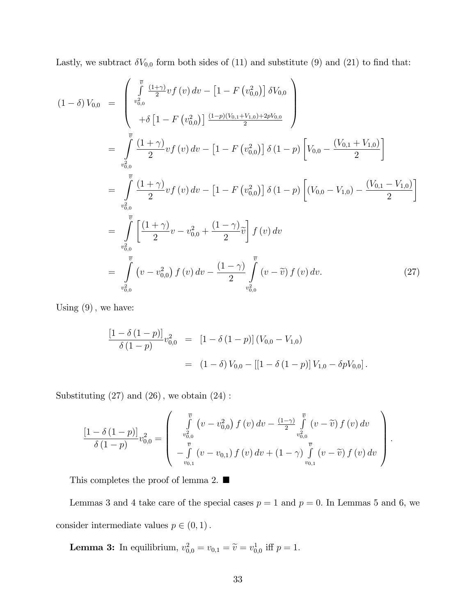Lastly, we subtract  $\delta V_{0,0}$  form both sides of [\(11\)](#page-18-1) and substitute [\(9\)](#page-17-2) and [\(21\)](#page-30-0) to find that:

<span id="page-33-0"></span>
$$
(1 - \delta) V_{0,0} = \begin{cases} \int\limits_{v_{0,0}^2}^{\overline{v}} \frac{(1+\gamma)}{2} vf(v) dv - [1 - F(v_{0,0}^2)] \delta V_{0,0} \\ + \delta [1 - F(v_{0,0}^2)] \frac{(1-p)(V_{0,1} + V_{1,0}) + 2pV_{0,0}}{2} \end{cases}
$$
  
\n
$$
= \int\limits_{v_{0,0}^2}^{\overline{v}} \frac{(1+\gamma)}{2} vf(v) dv - [1 - F(v_{0,0}^2)] \delta (1-p) \left[ V_{0,0} - \frac{(V_{0,1} + V_{1,0})}{2} \right]
$$
  
\n
$$
= \int\limits_{v_{0,0}^2}^{\overline{v}} \frac{(1+\gamma)}{2} vf(v) dv - [1 - F(v_{0,0}^2)] \delta (1-p) \left[ (V_{0,0} - V_{1,0}) - \frac{(V_{0,1} - V_{1,0})}{2} \right]
$$
  
\n
$$
= \int\limits_{v_{0,0}^2}^{\overline{v}} \left[ \frac{(1+\gamma)}{2} v - v_{0,0}^2 + \frac{(1-\gamma)}{2} \tilde{v} \right] f(v) dv
$$
  
\n
$$
= \int\limits_{v_{0,0}^2}^{\overline{v}} (v - v_{0,0}^2) f(v) dv - \frac{(1-\gamma)}{2} \int\limits_{v_{0,0}^2}^{\overline{v}} (v - \tilde{v}) f(v) dv.
$$
 (27)

Using [\(9\)](#page-17-2)*,* we have:

<span id="page-33-1"></span>
$$
\frac{[1-\delta(1-p)]}{\delta(1-p)}v_{0,0}^2 = [1-\delta(1-p)](V_{0,0} - V_{1,0})
$$
  
=  $(1-\delta)V_{0,0} - [[1-\delta(1-p)]V_{1,0} - \delta pV_{0,0}].$ 

Substituting [\(27\)](#page-33-0) and [\(26\)](#page-32-0)*,* we obtain [\(24\)](#page-31-2) :

$$
\frac{\left[1-\delta\left(1-p\right)\right]}{\delta\left(1-p\right)}v_{0,0}^{2} = \left(\begin{array}{c} \int\limits_{v_{0,0}^{2}}^{\overline{v}}\left(v-v_{0,0}^{2}\right)f\left(v\right)dv - \frac{\left(1-\gamma\right)}{2}\int\limits_{v_{0,0}^{2}}^{\overline{v}}\left(v-\widetilde{v}\right)f\left(v\right)dv \\ - \int\limits_{v_{0,1}}^{\overline{v}}\left(v-v_{0,1}\right)f\left(v\right)dv + \left(1-\gamma\right)\int\limits_{v_{0,1}}^{\overline{v}}\left(v-\widetilde{v}\right)f\left(v\right)dv \end{array}\right).
$$

This completes the proof of lemma 2.  $\blacksquare$ 

Lemmas 3 and 4 take care of the special cases  $p = 1$  and  $p = 0$ . In Lemmas 5 and 6, we consider intermediate values  $p \in (0, 1)$ .

**Lemma 3:** In equilibrium,  $v_{0,0}^2 = v_{0,1} = \tilde{v} = v_{0,0}^1$  iff  $p = 1$ .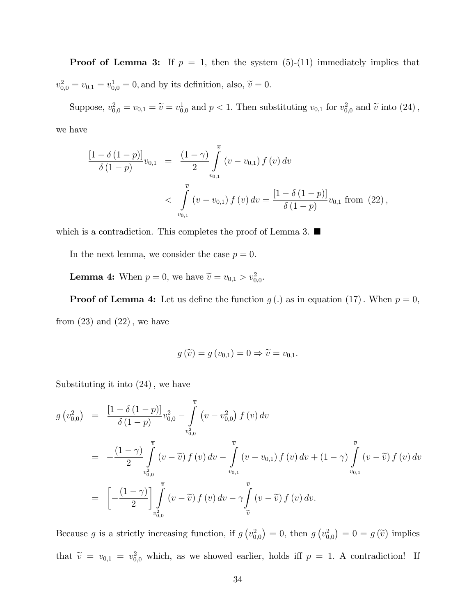**Proof of Lemma 3:** If  $p = 1$ , then the system  $(5)-(11)$  $(5)-(11)$  $(5)-(11)$  immediately implies that  $v_{0,0}^2 = v_{0,1} = v_{0,0}^1 = 0$ , and by its definition, also,  $\tilde{v} = 0$ .

Suppose,  $v_{0,0}^2 = v_{0,1} = \tilde{v} = v_{0,0}^1$  and  $p < 1$ . Then substituting  $v_{0,1}$  for  $v_{0,0}^2$  and  $\tilde{v}$  into [\(24\)](#page-31-2), we have

 $\frac{[1-\delta(1-p)]}{\delta(1-p)}v_{0,1} = \frac{(1-\gamma)}{2}$ Z*v v*0*,*<sup>1</sup>  $(v - v_{0,1}) f(v) dv$ *<* Z*v v*0*,*<sup>1</sup>  $(v - v_{0,1}) f(v) dv = \frac{[1 - \delta (1 - p)]}{\delta (1 - p)}$  $\frac{\delta (1 - P)}{\delta (1 - p)} v_{0,1}$  from [\(22\)](#page-30-1),

which is a contradiction. This completes the proof of Lemma 3.  $\blacksquare$ 

In the next lemma, we consider the case  $p = 0$ .

**Lemma 4:** When  $p = 0$ , we have  $\tilde{v} = v_{0,1} > v_{0,0}^2$ .

**Proof of Lemma 4:** Let us define the function  $g(.)$  as in equation [\(17\)](#page-27-0). When  $p=0$ , from [\(23\)](#page-31-1) and [\(22\)](#page-30-1)*,* we have

$$
g\left(\widetilde{v}\right) = g\left(v_{0,1}\right) = 0 \Rightarrow \widetilde{v} = v_{0,1}.
$$

Substituting it into [\(24\)](#page-31-2)*,* we have

$$
g(v_{0,0}^2) = \frac{[1-\delta(1-p)]}{\delta(1-p)} v_{0,0}^2 - \int_{v_{0,0}^2}^{\overline{v}} (v - v_{0,0}^2) f(v) dv
$$
  
\n
$$
= -\frac{(1-\gamma)}{2} \int_{v_{0,0}^2}^{\overline{v}} (v - \widetilde{v}) f(v) dv - \int_{v_{0,1}^2}^{\overline{v}} (v - v_{0,1}) f(v) dv + (1-\gamma) \int_{v_{0,1}}^{\overline{v}} (v - \widetilde{v}) f(v) dv
$$
  
\n
$$
= \left[ -\frac{(1-\gamma)}{2} \right] \int_{v_{0,0}^2}^{\overline{v}} (v - \widetilde{v}) f(v) dv - \gamma \int_{\widetilde{v}}^{\overline{v}} (v - \widetilde{v}) f(v) dv.
$$

Because *g* is a strictly increasing function, if  $g(v_{0,0}^2) = 0$ , then  $g(v_{0,0}^2) = 0 = g(\tilde{v})$  implies that  $\tilde{v} = v_{0,1} = v_{0,0}^2$  which, as we showed earlier, holds iff  $p = 1$ . A contradiction! If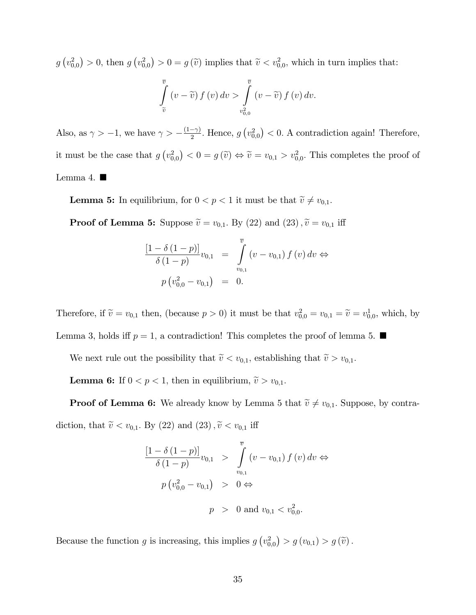$g(v_{0,0}^2) > 0$ , then  $g(v_{0,0}^2) > 0 = g(\tilde{v})$  implies that  $\tilde{v} < v_{0,0}^2$ , which in turn implies that:

$$
\int_{\tilde{v}}^{\overline{v}} \left(v - \tilde{v}\right) f\left(v\right) dv > \int_{v_{0,0}^{2}}^{\overline{v}} \left(v - \tilde{v}\right) f\left(v\right) dv.
$$

Also, as  $\gamma > -1$ , we have  $\gamma > -\frac{(1-\gamma)}{2}$ . Hence,  $g(v_{0,0}^2) < 0$ . A contradiction again! Therefore, it must be the case that  $g(v_{0,0}^2) < 0 = g(\tilde{v}) \Leftrightarrow \tilde{v} = v_{0,1} > v_{0,0}^2$ . This completes the proof of Lemma 4.  $\blacksquare$ 

**Lemma 5:** In equilibrium, for  $0 < p < 1$  it must be that  $\tilde{v} \neq v_{0,1}$ .

**Proof of Lemma 5:** Suppose  $\tilde{v} = v_{0,1}$ . By [\(22\)](#page-30-1) and [\(23\)](#page-31-1),  $\tilde{v} = v_{0,1}$  iff

$$
\frac{\left[1-\delta\left(1-p\right)\right]}{\delta\left(1-p\right)}v_{0,1} = \int_{v_{0,1}}^{\overline{v}} \left(v - v_{0,1}\right) f\left(v\right) dv \Leftrightarrow
$$

$$
p\left(v_{0,0}^{2} - v_{0,1}\right) = 0.
$$

Therefore, if  $\tilde{v} = v_{0,1}$  then, (because  $p > 0$ ) it must be that  $v_{0,0}^2 = v_{0,1} = \tilde{v} = v_{0,0}^1$ , which, by Lemma 3, holds iff  $p = 1$ , a contradiction! This completes the proof of lemma 5.

We next rule out the possibility that  $\tilde{v} < v_{0,1}$ , establishing that  $\tilde{v} > v_{0,1}$ .

**Lemma 6:** If  $0 < p < 1$ , then in equilibrium,  $\tilde{v} > v_{0,1}$ .

**Proof of Lemma 6:** We already know by Lemma 5 that  $\tilde{v} \neq v_{0,1}$ . Suppose, by contradiction, that  $\tilde{v} < v_{0,1}$ . By [\(22\)](#page-30-1) and [\(23\)](#page-31-1),  $\tilde{v} < v_{0,1}$  iff

$$
\frac{[1 - \delta (1 - p)]}{\delta (1 - p)} v_{0,1} > \int_{v_{0,1}}^{\overline{v}} (v - v_{0,1}) f(v) dv \Leftrightarrow
$$
  
  $p (v_{0,0}^2 - v_{0,1}) > 0 \Leftrightarrow$   
  $p > 0$  and  $v_{0,1} < v_{0,0}^2$ .

Because the function *g* is increasing, this implies  $g(v_{0,0}^2) > g(v_{0,1}) > g(\tilde{v})$ .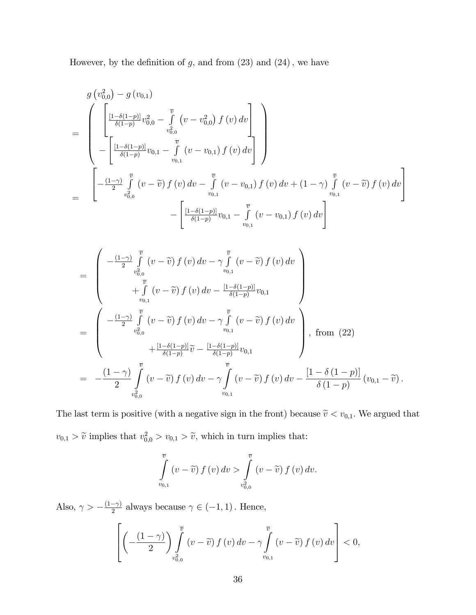However, by the definition of *g,* and from [\(23\)](#page-31-1) and [\(24\)](#page-31-2)*,* we have

$$
g(v_{0,0}^2) - g(v_{0,1})
$$
\n
$$
= \begin{pmatrix}\n\left[\frac{1-\delta(1-p)}{\delta(1-p)}v_{0,0}^2 - \int\limits_{v_{0,0}^2}^{\overline{v}} (v - v_{0,0}^2) f(v) dv\right] \\
-\left[\frac{[1-\delta(1-p)]}{\delta(1-p)}v_{0,1} - \int\limits_{v_{0,1}}^{\overline{v}} (v - v_{0,1}) f(v) dv\right] \\
-\left[\frac{1-\gamma}{2} \int\limits_{v_{0,0}^2}^{\overline{v}} (v - \widetilde{v}) f(v) dv - \int\limits_{v_{0,1}}^{\overline{v}} (v - v_{0,1}) f(v) dv + (1-\gamma) \int\limits_{v_{0,1}}^{\overline{v}} (v - \widetilde{v}) f(v) dv\right] \\
-\left[\frac{[1-\delta(1-p)]}{\delta(1-p)}v_{0,1} - \int\limits_{v_{0,1}}^{\overline{v}} (v - v_{0,1}) f(v) dv\right]\n\end{pmatrix}
$$

$$
= \begin{pmatrix}\n-\frac{(1-\gamma)}{2} \int_{v_{0,0}^2}^{\overline{v}} (v - \widetilde{v}) f(v) dv - \gamma \int_{v_{0,1}}^{\overline{v}} (v - \widetilde{v}) f(v) dv \\
+ \int_{v_{0,1}}^{\overline{v}} (v - \widetilde{v}) f(v) dv - \frac{[1 - \delta(1-p)]}{\delta(1-p)} v_{0,1} \\
-\frac{(1-\gamma)}{2} \int_{v_{0,0}^2}^{\overline{v}} (v - \widetilde{v}) f(v) dv - \gamma \int_{v_{0,1}}^{\overline{v}} (v - \widetilde{v}) f(v) dv \\
+ \frac{[1 - \delta(1-p)]}{\delta(1-p)} \widetilde{v} - \frac{[1 - \delta(1-p)]}{\delta(1-p)} v_{0,1}\n\end{pmatrix}, \text{ from (22)}
$$
\n
$$
= -\frac{(1-\gamma)}{2} \int_{v_{0,0}^2}^{\overline{v}} (v - \widetilde{v}) f(v) dv - \gamma \int_{v_{0,1}}^{\overline{v}} (v - \widetilde{v}) f(v) dv - \frac{[1 - \delta(1-p)]}{\delta(1-p)} (v_{0,1} - \widetilde{v}).
$$

The last term is positive (with a negative sign in the front) because  $\tilde{v} < v_{0,1}$ . We argued that  $v_{0,1} > \tilde{v}$  implies that  $v_{0,0}^2 > v_{0,1} > \tilde{v}$ , which in turn implies that:

$$
\int\limits_{v_{0,1}}^{\overline{v}}\left(v-\widetilde{v}\right)f\left(v\right)dv > \int\limits_{v_{0,0}^{2}}^{\overline{v}}\left(v-\widetilde{v}\right)f\left(v\right)dv.
$$

Also,  $\gamma > -\frac{(1-\gamma)}{2}$  always because  $\gamma \in (-1, 1)$ . Hence,

$$
\left[\left(-\frac{(1-\gamma)}{2}\right)\int\limits_{v_{0,0}^2}^{\overline{v}}\left(v-\widetilde{v}\right)f\left(v\right)dv-\gamma\int\limits_{v_{0,1}}^{\overline{v}}\left(v-\widetilde{v}\right)f\left(v\right)dv\right]<0,
$$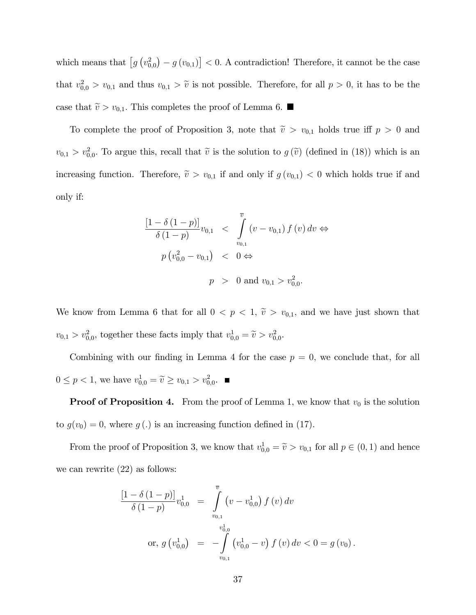which means that  $[g(v_{0,0}^2) - g(v_{0,1})] < 0$ . A contradiction! Therefore, it cannot be the case that  $v_{0,0}^2 > v_{0,1}$  and thus  $v_{0,1} > \tilde{v}$  is not possible. Therefore, for all  $p > 0$ , it has to be the case that  $\tilde{v} > v_{0,1}$ . This completes the proof of Lemma 6.

To complete the proof of Proposition 3, note that  $\tilde{v} > v_{0,1}$  holds true iff  $p > 0$  and  $v_{0,1} > v_{0,0}^2$ . To argue this, recall that  $\tilde{v}$  is the solution to  $g(\tilde{v})$  (defined in [\(18\)](#page-29-0)) which is an increasing function. Therefore,  $\tilde{v} > v_{0,1}$  if and only if  $g(v_{0,1}) < 0$  which holds true if and only if:

$$
\frac{\left[1-\delta\left(1-p\right)\right]}{\delta\left(1-p\right)}v_{0,1} < \int_{v_{0,1}}^{\overline{v}} \left(v-v_{0,1}\right)f\left(v\right)dv \Leftrightarrow
$$
\n
$$
p\left(v_{0,0}^{2}-v_{0,1}\right) < 0 \Leftrightarrow
$$
\n
$$
p > 0 \text{ and } v_{0,1} > v_{0,0}^{2}.
$$

We know from Lemma 6 that for all  $0 < p < 1$ ,  $\tilde{v} > v_{0,1}$ , and we have just shown that  $v_{0,1} > v_{0,0}^2$ , together these facts imply that  $v_{0,0}^1 = \tilde{v} > v_{0,0}^2$ .

Combining with our finding in Lemma 4 for the case  $p = 0$ , we conclude that, for all  $0 \le p < 1$ , we have  $v_{0,0}^1 = \tilde{v} \ge v_{0,1} > v_{0,0}^2$ .

**Proof of Proposition 4.** From the proof of Lemma 1, we know that  $v_0$  is the solution to  $g(v_0)=0$ , where  $g(.)$  is an increasing function defined in [\(17\)](#page-27-0).

From the proof of Proposition 3, we know that  $v_{0,0}^1 = \tilde{v} > v_{0,1}$  for all  $p \in (0,1)$  and hence we can rewrite [\(22\)](#page-30-1) as follows:

$$
\frac{\left[1-\delta\left(1-p\right)\right]}{\delta\left(1-p\right)}v_{0,0}^{1} = \int_{v_{0,1}}^{\overline{v}} \left(v-v_{0,0}^{1}\right)f\left(v\right)dv
$$
\n
$$
\text{or, } g\left(v_{0,0}^{1}\right) = -\int_{v_{0,1}}^{v_{0,0}^{1}} \left(v_{0,0}^{1}-v\right)f\left(v\right)dv < 0 = g\left(v_{0}\right).
$$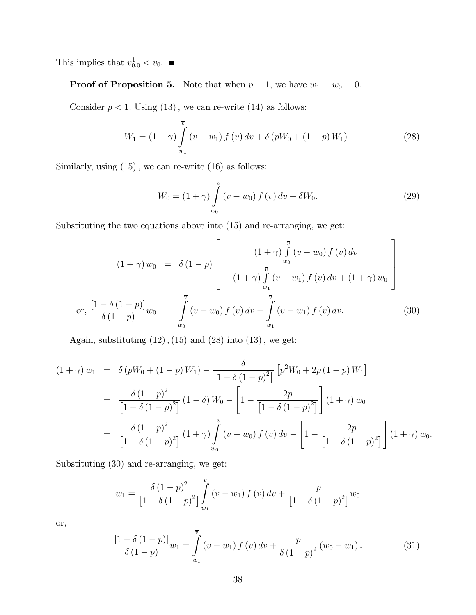This implies that  $v_{0,0}^1 < v_0$ .

**Proof of Proposition 5.** Note that when  $p = 1$ , we have  $w_1 = w_0 = 0$ .

Consider  $p < 1$ . Using  $(13)$ , we can re-write  $(14)$  as follows:

$$
W_1 = (1 + \gamma) \int_{w_1}^{\overline{v}} (v - w_1) f(v) dv + \delta (pW_0 + (1 - p) W_1).
$$
 (28)

Similarly, using  $(15)$ , we can re-write  $(16)$  as follows:

<span id="page-38-2"></span>
$$
W_0 = (1 + \gamma) \int_{w_0}^{\overline{v}} (v - w_0) f(v) dv + \delta W_0.
$$
 (29)

Substituting the two equations above into [\(15\)](#page-21-4) and re-arranging, we get:

<span id="page-38-0"></span>
$$
(1+\gamma) w_0 = \delta (1-p) \begin{bmatrix} (1+\gamma) \int_{w_0}^{\overline{v}} (v-w_0) f(v) dv \\ - (1+\gamma) \int_{w_1}^{\overline{v}} (v-w_1) f(v) dv + (1+\gamma) w_0 \end{bmatrix}
$$
  
or, 
$$
\frac{[1-\delta (1-p)]}{\delta (1-p)} w_0 = \int_{w_0}^{\overline{v}} (v-w_0) f(v) dv - \int_{w_1}^{\overline{v}} (v-w_1) f(v) dv.
$$
 (30)

Again, substituting [\(12\)](#page-21-0)*,*[\(15\)](#page-21-4) and [\(28\)](#page-33-1) into [\(13\)](#page-21-2)*,* we get:

$$
(1+\gamma) w_1 = \delta (pW_0 + (1-p) W_1) - \frac{\delta}{[1-\delta(1-p)^2]} [p^2 W_0 + 2p (1-p) W_1]
$$
  
= 
$$
\frac{\delta (1-p)^2}{[1-\delta(1-p)^2]} (1-\delta) W_0 - \left[1 - \frac{2p}{[1-\delta(1-p)^2]} \right] (1+\gamma) w_0
$$
  
= 
$$
\frac{\delta (1-p)^2}{[1-\delta(1-p)^2]} (1+\gamma) \int_{w_0}^{\overline{v}} (v-w_0) f(v) dv - \left[1 - \frac{2p}{[1-\delta(1-p)^2]} \right] (1+\gamma) w_0.
$$

Substituting [\(30\)](#page-38-0) and re-arranging, we get:

$$
w_1 = \frac{\delta (1-p)^2}{\left[1-\delta (1-p)^2\right]} \int_{w_1}^{\overline{v}} (v-w_1) f(v) dv + \frac{p}{\left[1-\delta (1-p)^2\right]} w_0
$$

or,

<span id="page-38-1"></span>
$$
\frac{\left[1-\delta\left(1-p\right)\right]}{\delta\left(1-p\right)}w_1 = \int_{w_1}^{\overline{v}} \left(v-w_1\right) f\left(v\right) dv + \frac{p}{\delta\left(1-p\right)^2} \left(w_0 - w_1\right). \tag{31}
$$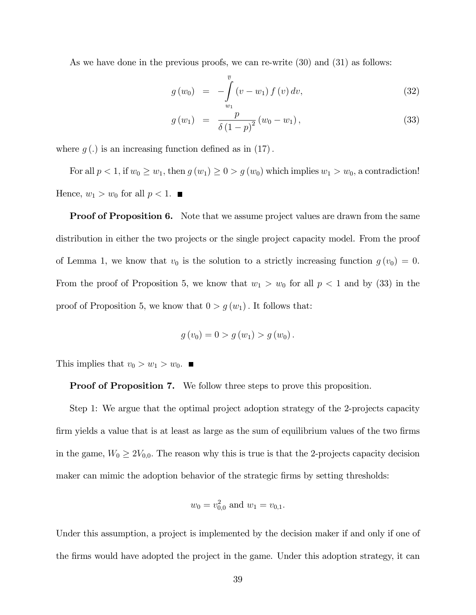As we have done in the previous proofs, we can re-write [\(30\)](#page-38-0) and [\(31\)](#page-38-1) as follows:

$$
g(w_0) = -\int_{w_1}^{\overline{v}} (v - w_1) f(v) dv,
$$
\n(32)

<span id="page-39-0"></span>
$$
g(w_1) = \frac{p}{\delta(1-p)^2}(w_0 - w_1), \qquad (33)
$$

where  $g(.)$  is an increasing function defined as in  $(17)$ .

For all  $p < 1$ , if  $w_0 \ge w_1$ , then  $g(w_1) \ge 0 > g(w_0)$  which implies  $w_1 > w_0$ , a contradiction! Hence,  $w_1 > w_0$  for all  $p < 1$ .

**Proof of Proposition 6.** Note that we assume project values are drawn from the same distribution in either the two projects or the single project capacity model. From the proof of Lemma 1, we know that  $v_0$  is the solution to a strictly increasing function  $g(v_0)=0$ . From the proof of Proposition 5, we know that  $w_1 > w_0$  for all  $p < 1$  and by [\(33\)](#page-39-0) in the proof of Proposition 5, we know that  $0 > g(w_1)$ . It follows that:

$$
g(v_0) = 0 > g(w_1) > g(w_0).
$$

This implies that  $v_0 > w_1 > w_0$ .

**Proof of Proposition 7.** We follow three steps to prove this proposition.

Step 1: We argue that the optimal project adoption strategy of the 2-projects capacity firm yields a value that is at least as large as the sum of equilibrium values of the two firms in the game,  $W_0 \ge 2V_{0,0}$ . The reason why this is true is that the 2-projects capacity decision maker can mimic the adoption behavior of the strategic firms by setting thresholds:

$$
w_0 = v_{0,0}^2
$$
 and  $w_1 = v_{0,1}$ .

Under this assumption, a project is implemented by the decision maker if and only if one of the firms would have adopted the project in the game. Under this adoption strategy, it can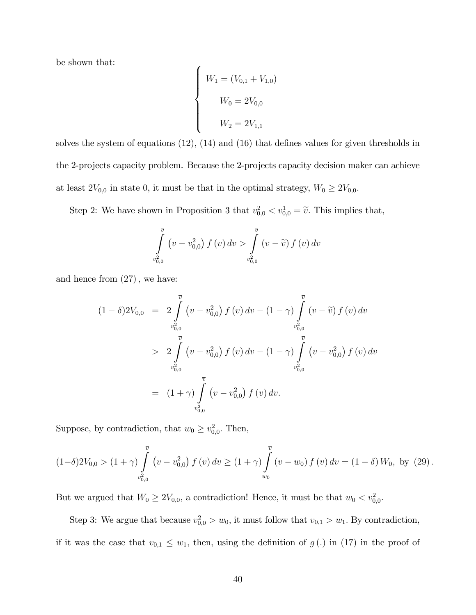be shown that:

$$
\begin{cases}\n W_1 = (V_{0,1} + V_{1,0}) \\
 W_0 = 2V_{0,0} \\
 W_2 = 2V_{1,1}\n\end{cases}
$$

solves the system of equations [\(12\)](#page-21-0), [\(14\)](#page-21-3) and [\(16\)](#page-21-1) that defines values for given thresholds in the 2-projects capacity problem. Because the 2-projects capacity decision maker can achieve at least  $2V_{0,0}$  in state 0, it must be that in the optimal strategy,  $W_0 \ge 2V_{0,0}$ .

Step 2: We have shown in Proposition 3 that  $v_{0,0}^2 < v_{0,0}^1 = \tilde{v}$ . This implies that,

$$
\int_{v_{0,0}^2}^{\overline{v}} \left(v - v_{0,0}^2\right) f\left(v\right) dv > \int_{v_{0,0}^2}^{\overline{v}} \left(v - \widetilde{v}\right) f\left(v\right) dv
$$

and hence from [\(27\)](#page-33-0)*,* we have:

$$
(1 - \delta)2V_{0,0} = 2\int_{\substack{v_{0,0}^2 \\ v_{0,0}^2}}^{\overline{v}} (v - v_{0,0}^2) f(v) dv - (1 - \gamma) \int_{\substack{v_{0,0}^2 \\ v_{0,0}^2}}^{\overline{v}} (v - \widetilde{v}) f(v) dv
$$
  

$$
> 2\int_{\substack{v_{0,0}^2 \\ v_{0,0}^2}}^{\overline{v}} (v - v_{0,0}^2) f(v) dv - (1 - \gamma) \int_{\substack{v_{0,0}^2 \\ v_{0,0}^2}}^{\overline{v}} (v - v_{0,0}^2) f(v) dv
$$
  

$$
= (1 + \gamma) \int_{\substack{v_{0,0}^2 \\ v_{0,0}^2}}^{\overline{v}} (v - v_{0,0}^2) f(v) dv.
$$

Suppose, by contradiction, that  $w_0 \ge v_{0,0}^2$ . Then,

$$
(1-\delta)2V_{0,0} > (1+\gamma)\int\limits_{v_{0,0}^2}^{\overline{v}} \left(v - v_{0,0}^2\right) f\left(v\right) dv \ge (1+\gamma)\int\limits_{w_0}^{\overline{v}} \left(v - w_0\right) f\left(v\right) dv = (1-\delta) W_0, \text{ by (29)}.
$$

But we argued that  $W_0 \ge 2V_{0,0}$ , a contradiction! Hence, it must be that  $w_0 < v_{0,0}^2$ .

Step 3: We argue that because  $v_{0,0}^2 > w_0$ , it must follow that  $v_{0,1} > w_1$ . By contradiction, if it was the case that  $v_{0,1} \leq w_1$ , then, using the definition of  $g(.)$  in [\(17\)](#page-27-0) in the proof of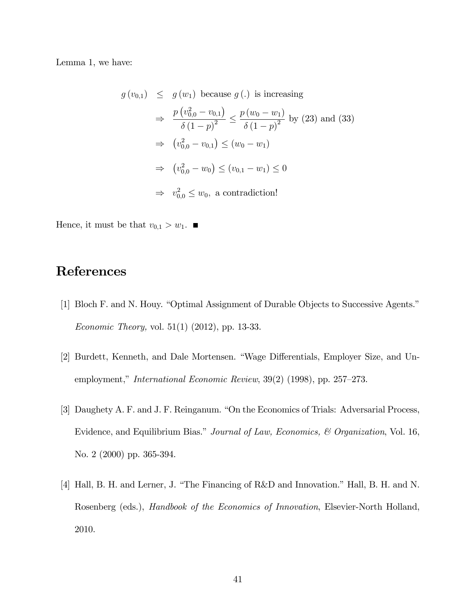Lemma 1, we have:

$$
g(v_{0,1}) \leq g(w_1) \text{ because } g(.) \text{ is increasing}
$$
  
\n
$$
\Rightarrow \frac{p(v_{0,0}^2 - v_{0,1})}{\delta(1-p)^2} \leq \frac{p(w_0 - w_1)}{\delta(1-p)^2} \text{ by (23) and (33)}
$$
  
\n
$$
\Rightarrow (v_{0,0}^2 - v_{0,1}) \leq (w_0 - w_1)
$$
  
\n
$$
\Rightarrow (v_{0,0}^2 - w_0) \leq (v_{0,1} - w_1) \leq 0
$$
  
\n
$$
\Rightarrow v_{0,0}^2 \leq w_0, \text{ a contradiction!}
$$

Hence, it must be that  $v_{0,1} > w_1$ .

## References

- [1] Bloch F. and N. Houy. "Optimal Assignment of Durable Objects to Successive Agents." *Economic Theory,* vol. 51(1) (2012), pp. 13-33.
- [2] Burdett, Kenneth, and Dale Mortensen. "Wage Differentials, Employer Size, and Unemployment," *International Economic Review*, 39(2) (1998), pp. 257—273.
- [3] Daughety A. F. and J. F. Reinganum. "On the Economics of Trials: Adversarial Process, Evidence, and Equilibrium Bias." *Journal of Law, Economics, & Organization*, Vol. 16, No. 2 (2000) pp. 365-394.
- [4] Hall, B. H. and Lerner, J. "The Financing of R&D and Innovation." Hall, B. H. and N. Rosenberg (eds.), *Handbook of the Economics of Innovation*, Elsevier-North Holland, 2010.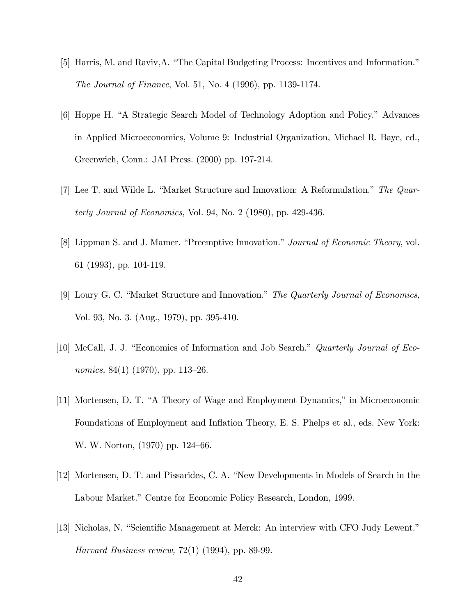- [5] Harris, M. and Raviv,A. "The Capital Budgeting Process: Incentives and Information." *The Journal of Finance*, Vol. 51, No. 4 (1996), pp. 1139-1174.
- [6] Hoppe H. "A Strategic Search Model of Technology Adoption and Policy." Advances in Applied Microeconomics, Volume 9: Industrial Organization, Michael R. Baye, ed., Greenwich, Conn.: JAI Press. (2000) pp. 197-214.
- [7] Lee T. and Wilde L. "Market Structure and Innovation: A Reformulation." *The Quarterly Journal of Economics*, Vol. 94, No. 2 (1980), pp. 429-436.
- [8] Lippman S. and J. Mamer. "Preemptive Innovation." *Journal of Economic Theory*, vol. 61 (1993), pp. 104-119.
- [9] Loury G. C. "Market Structure and Innovation." *The Quarterly Journal of Economics*, Vol. 93, No. 3. (Aug., 1979), pp. 395-410.
- [10] McCall, J. J. "Economics of Information and Job Search." *Quarterly Journal of Economics,* 84(1) (1970), pp. 113—26.
- [11] Mortensen, D. T. "A Theory of Wage and Employment Dynamics," in Microeconomic Foundations of Employment and Inflation Theory, E. S. Phelps et al., eds. New York: W. W. Norton, (1970) pp. 124—66.
- [12] Mortensen, D. T. and Pissarides, C. A. "New Developments in Models of Search in the Labour Market." Centre for Economic Policy Research, London, 1999.
- [13] Nicholas, N. "Scientific Management at Merck: An interview with CFO Judy Lewent." *Harvard Business review,* 72(1) (1994), pp. 89-99.